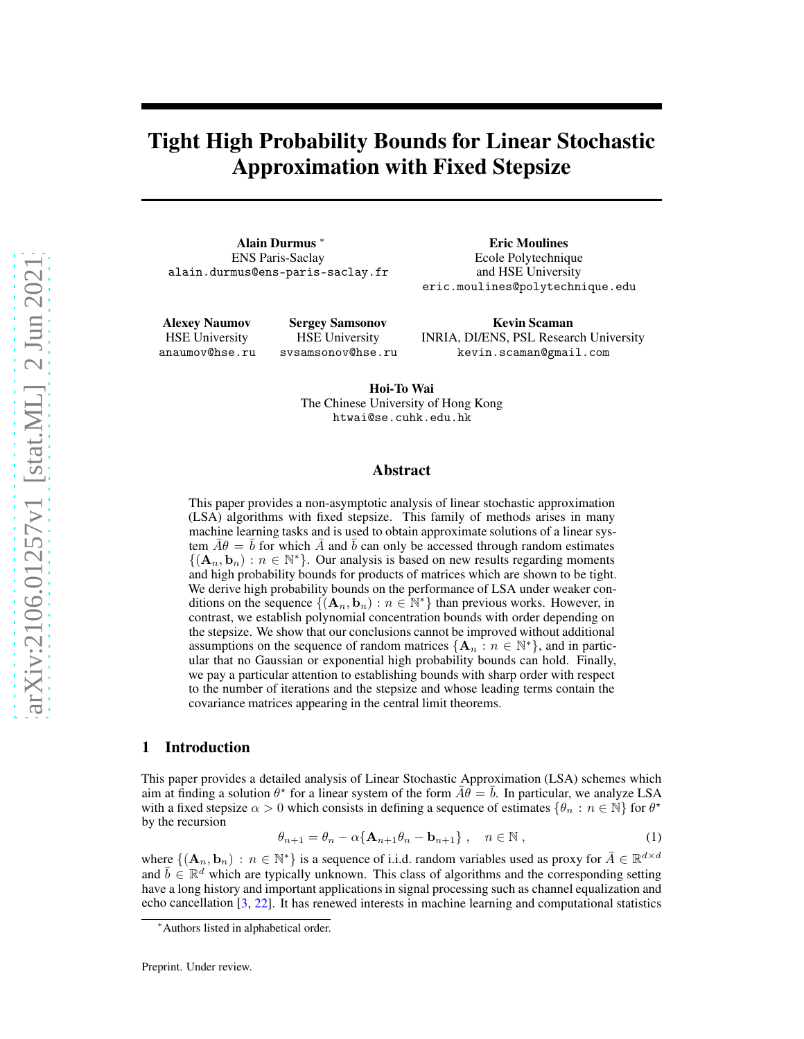# Tight High Probability Bounds for Linear Stochastic Approximation with Fixed Stepsize

Alain Durmus <sup>∗</sup> ENS Paris-Saclay alain.durmus@ens-paris-saclay.fr

> Sergey Samsonov HSE University svsamsonov@hse.ru

Eric Moulines Ecole Polytechnique and HSE University eric.moulines@polytechnique.edu

Alexey Naumov HSE University anaumov@hse.ru

Kevin Scaman INRIA, DI/ENS, PSL Research University kevin.scaman@gmail.com

Hoi-To Wai The Chinese University of Hong Kong htwai@se.cuhk.edu.hk

## Abstract

This paper provides a non-asymptotic analysis of linear stochastic approximation (LSA) algorithms with fixed stepsize. This family of methods arises in many machine learning tasks and is used to obtain approximate solutions of a linear system  $A\theta = b$  for which A and b can only be accessed through random estimates  $\{(\mathbf{A}_n, \mathbf{b}_n) : n \in \mathbb{N}^*\}$ . Our analysis is based on new results regarding moments and high probability bounds for products of matrices which are shown to be tight. We derive high probability bounds on the performance of LSA under weaker conditions on the sequence  $\{(\mathbf{A}_n, \mathbf{b}_n) : n \in \mathbb{N}^*\}$  than previous works. However, in contrast, we establish polynomial concentration bounds with order depending on the stepsize. We show that our conclusions cannot be improved without additional assumptions on the sequence of random matrices  $\{A_n : n \in \mathbb{N}^*\}$ , and in particular that no Gaussian or exponential high probability bounds can hold. Finally, we pay a particular attention to establishing bounds with sharp order with respect to the number of iterations and the stepsize and whose leading terms contain the covariance matrices appearing in the central limit theorems.

## 1 Introduction

This paper provides a detailed analysis of Linear Stochastic Approximation (LSA) schemes which aim at finding a solution  $\theta^*$  for a linear system of the form  $\bar{A}\theta = \bar{b}$ . In particular, we analyze LSA with a fixed stepsize  $\alpha > 0$  which consists in defining a sequence of estimates  $\{\theta_n : n \in \mathbb{N}\}\$  for  $\theta^*$ by the recursion

<span id="page-0-0"></span>
$$
\theta_{n+1} = \theta_n - \alpha \{ \mathbf{A}_{n+1} \theta_n - \mathbf{b}_{n+1} \}, \quad n \in \mathbb{N},
$$
\n(1)

where  $\{(\mathbf{A}_n, \mathbf{b}_n) : n \in \mathbb{N}^*\}$  is a sequence of i.i.d. random variables used as proxy for  $\bar{A} \in \mathbb{R}^{d \times d}$ and  $\bar{b} \in \mathbb{R}^d$  which are typically unknown. This class of algorithms and the corresponding setting have a long history and important applications in signal processing such as channel equalization and echo cancellation [\[3,](#page-9-0) [22\]](#page-10-0). It has renewed interests in machine learning and computational statistics

<sup>∗</sup>Authors listed in alphabetical order.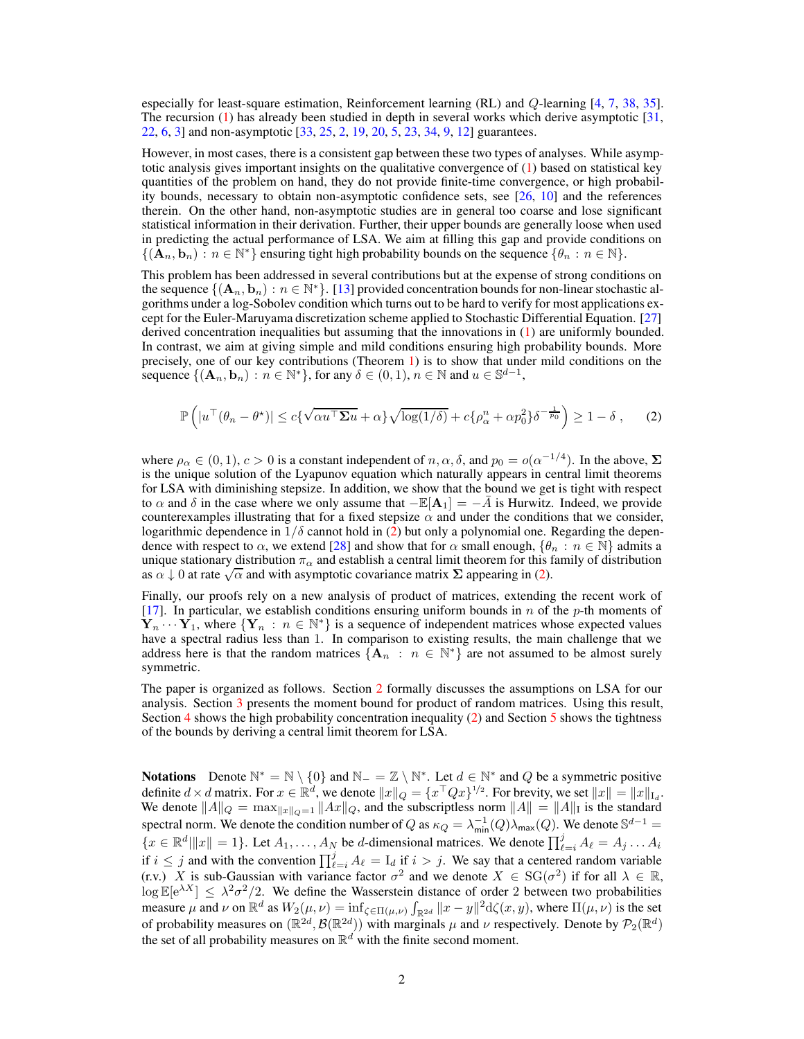especially for least-square estimation, Reinforcement learning (RL) and Q-learning [\[4,](#page-9-1) [7,](#page-9-2) [38](#page-11-0), [35\]](#page-11-1). The recursion [\(1\)](#page-0-0) has already been studied in depth in several works which derive asymptotic [\[31,](#page-10-1) [22,](#page-10-0) [6,](#page-9-3) [3\]](#page-9-0) and non-asymptotic [\[33](#page-10-2), [25](#page-10-3), [2](#page-9-4), [19](#page-10-4), [20](#page-10-5), [5](#page-9-5), [23](#page-10-6), [34](#page-11-2), [9,](#page-9-6) [12\]](#page-9-7) guarantees.

However, in most cases, there is a consistent gap between these two types of analyses. While asymptotic analysis gives important insights on the qualitative convergence of [\(1\)](#page-0-0) based on statistical key quantities of the problem on hand, they do not provide finite-time convergence, or high probability bounds, necessary to obtain non-asymptotic confidence sets, see [\[26](#page-10-7), [10\]](#page-9-8) and the references therein. On the other hand, non-asymptotic studies are in general too coarse and lose significant statistical information in their derivation. Further, their upper bounds are generally loose when used in predicting the actual performance of LSA. We aim at filling this gap and provide conditions on  $\{(\mathbf{A}_n, \mathbf{b}_n) : n \in \mathbb{N}^*\}$  ensuring tight high probability bounds on the sequence  $\{\theta_n : n \in \mathbb{N}\}.$ 

This problem has been addressed in several contributions but at the expense of strong conditions on the sequence  $\{(\mathbf{A}_n, \mathbf{b}_n) : n \in \mathbb{N}^*\}$ . [\[13\]](#page-9-9) provided concentration bounds for non-linear stochastic algorithms under a log-Sobolev condition which turns out to be hard to verify for most applications except for the Euler-Maruyama discretization scheme applied to Stochastic Differential Equation. [\[27\]](#page-10-8) derived concentration inequalities but assuming that the innovations in [\(1\)](#page-0-0) are uniformly bounded. In contrast, we aim at giving simple and mild conditions ensuring high probability bounds. More precisely, one of our key contributions (Theorem [1\)](#page-7-0) is to show that under mild conditions on the sequence  $\{(\mathbf{A}_n, \mathbf{b}_n) : n \in \mathbb{N}^*\}$ , for any  $\delta \in (0, 1)$ ,  $n \in \mathbb{N}$  and  $u \in \mathbb{S}^{d-1}$ ,

<span id="page-1-0"></span>
$$
\mathbb{P}\left(|u^{\top}(\theta_n - \theta^*)| \le c\{\sqrt{\alpha u^{\top} \Sigma u} + \alpha\} \sqrt{\log(1/\delta)} + c\{\rho_{\alpha}^n + \alpha p_0^2\} \delta^{-\frac{1}{p_0}}\right) \ge 1 - \delta,
$$
 (2)

where  $\rho_{\alpha} \in (0, 1), c > 0$  is a constant independent of  $n, \alpha, \delta$ , and  $p_0 = o(\alpha^{-1/4})$ . In the above,  $\Sigma$ is the unique solution of the Lyapunov equation which naturally appears in central limit theorems for LSA with diminishing stepsize. In addition, we show that the bound we get is tight with respect to  $\alpha$  and  $\delta$  in the case where we only assume that  $-\mathbb{E}[A_1] = -\overline{A}$  is Hurwitz. Indeed, we provide counterexamples illustrating that for a fixed stepsize  $\alpha$  and under the conditions that we consider, logarithmic dependence in  $1/\delta$  cannot hold in [\(2\)](#page-1-0) but only a polynomial one. Regarding the dependence with respect to  $\alpha$ , we extend [\[28](#page-10-9)] and show that for  $\alpha$  small enough,  $\{\theta_n : n \in \mathbb{N}\}\$ admits a unique stationary distribution  $\pi_\alpha$  and establish a central limit theorem for this family of distribution and a control  $\alpha$  and with asymptotic covariance matrix  $\Sigma$  appearing in [\(2\)](#page-1-0).

Finally, our proofs rely on a new analysis of product of matrices, extending the recent work of [\[17](#page-10-10)]. In particular, we establish conditions ensuring uniform bounds in  $n$  of the  $p$ -th moments of  $\mathbf{Y}_n \cdots \mathbf{Y}_1$ , where  $\{\mathbf{Y}_n : n \in \mathbb{N}^*\}$  is a sequence of independent matrices whose expected values have a spectral radius less than 1. In comparison to existing results, the main challenge that we address here is that the random matrices  ${A_n : n \in \mathbb{N}^*}$  are not assumed to be almost surely symmetric.

The paper is organized as follows. Section [2](#page-2-0) formally discusses the assumptions on LSA for our analysis. Section [3](#page-3-0) presents the moment bound for product of random matrices. Using this result, Section [4](#page-5-0) shows the high probability concentration inequality [\(2\)](#page-1-0) and Section [5](#page-7-1) shows the tightness of the bounds by deriving a central limit theorem for LSA.

**Notations** Denote  $\mathbb{N}^* = \mathbb{N} \setminus \{0\}$  and  $\mathbb{N}_- = \mathbb{Z} \setminus \mathbb{N}^*$ . Let  $d \in \mathbb{N}^*$  and Q be a symmetric positive definite  $d \times d$  matrix. For  $x \in \mathbb{R}^d$ , we denote  $||x||_Q = \{x^\top Qx\}^{1/2}$ . For brevity, we set  $||x|| = ||x||_{L_d}$ . We denote  $||A||_Q = \max_{||x||_Q=1} ||Ax||_Q$ , and the subscriptless norm  $||A|| = ||A||_I$  is the standard spectral norm. We denote the condition number of  $Q$  as  $\kappa_Q=\lambda_{\sf min}^{-1}(Q)\lambda_{\sf max}(Q)$ . We denote  $\mathbb{S}^{d-1}=$  ${x \in \mathbb{R}^d | ||x|| = 1}.$  Let  $A_1, \ldots, A_N$  be d-dimensional matrices. We denote  $\prod_{\ell=i}^j A_\ell = A_j \ldots A_i$ if  $i \leq j$  and with the convention  $\prod_{\ell=i}^j A_\ell = I_d$  if  $i > j$ . We say that a centered random variable  $(x, y)$  X is sub-Gaussian with variance factor  $\sigma^2$  and we denote  $X \in SG(\sigma^2)$  if for all  $\lambda \in \mathbb{R}$ ,  $\log \mathbb{E}[e^{\lambda X}] \leq \lambda^2 \sigma^2/2$ . We define the Wasserstein distance of order 2 between two probabilities measure  $\mu$  and  $\nu$  on  $\mathbb{R}^d$  as  $W_2(\mu, \nu) = \inf_{\zeta \in \Pi(\mu, \nu)} \int_{\mathbb{R}^{2d}} ||x - y||^2 d\zeta(x, y)$ , where  $\Pi(\mu, \nu)$  is the set of probability measures on  $(\mathbb{R}^{2d}, \mathcal{B}(\mathbb{R}^{2d}))$  with marginals  $\mu$  and  $\nu$  respectively. Denote by  $\mathcal{P}_2(\mathbb{R}^d)$ the set of all probability measures on  $\mathbb{R}^d$  with the finite second moment.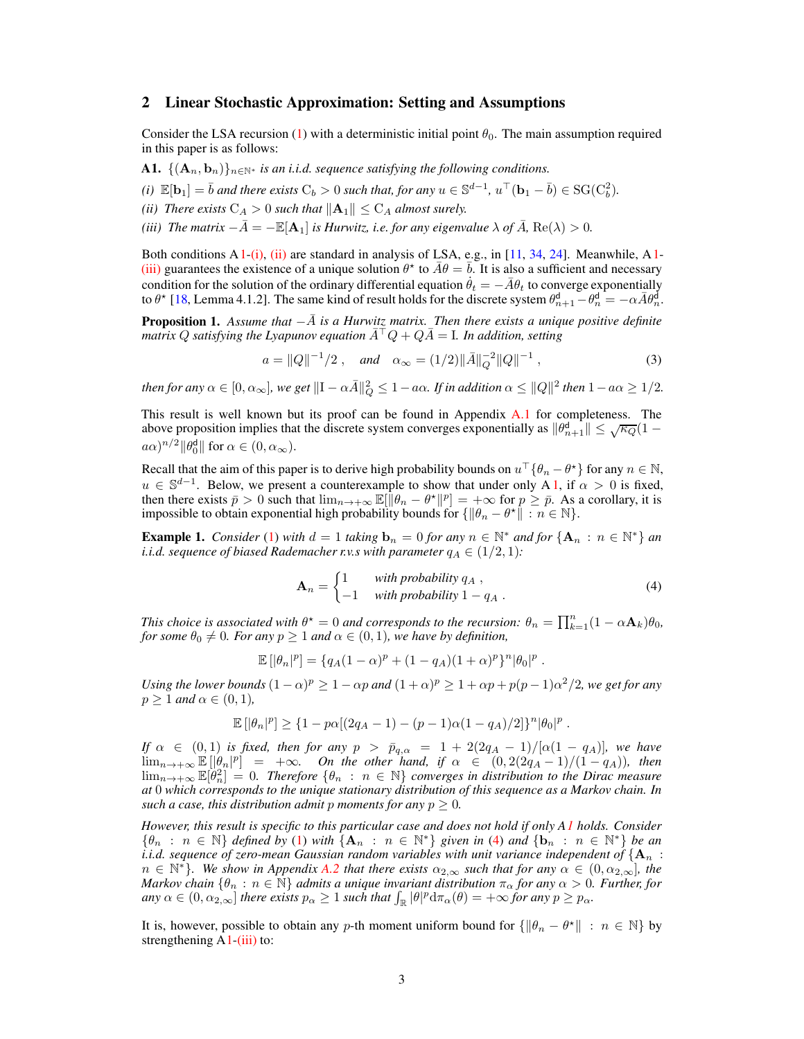## <span id="page-2-0"></span>2 Linear Stochastic Approximation: Setting and Assumptions

<span id="page-2-1"></span>Consider the LSA recursion [\(1\)](#page-0-0) with a deterministic initial point  $\theta_0$ . The main assumption required in this paper is as follows:

- <span id="page-2-2"></span>A1.  $\{(\mathbf{A}_n, \mathbf{b}_n)\}_{n\in\mathbb{N}^*}$  *is an i.i.d. sequence satisfying the following conditions.*
- <span id="page-2-3"></span>*(i)*  $\mathbb{E}[\mathbf{b}_1] = \overline{b}$  *and there exists*  $C_b > 0$  *such that, for any*  $u \in \mathbb{S}^{d-1}$ ,  $u^{\top}(\mathbf{b}_1 - \overline{b}) \in \text{SG}(C_b^2)$ .
- <span id="page-2-4"></span>*(ii)* There exists  $C_A > 0$  such that  $||A_1|| \leq C_A$  almost surely.
- *(iii)* The matrix  $-\bar{A} = -\mathbb{E}[A_1]$  *is Hurwitz, i.e. for any eigenvalue*  $\lambda$  *of*  $\bar{A}$ *,* Re( $\lambda$ ) > 0*.*

Both conditions  $A_1$  $A_1$ [-\(i\),](#page-2-2) [\(ii\)](#page-2-3) are standard in analysis of LSA, e.g., in [\[11,](#page-9-10) [34](#page-11-2), [24\]](#page-10-11). Meanwhile,  $A_1$ -[\(iii\)](#page-2-4) guarantees the existence of a unique solution  $\theta^*$  to  $\bar{A}\theta = \bar{b}$ . It is also a sufficient and necessary condition for the solution of the ordinary differential equation  $\dot{\theta}_t = -\bar{A}\theta_t$  to converge exponentially to  $\theta^*$  [\[18,](#page-10-12) Lemma 4.1.2]. The same kind of result holds for the discrete system  $\theta_{n+1}^d - \theta_n^d = -\alpha \bar{A} \theta_n^d$ .

<span id="page-2-7"></span>**Proposition 1.** *Assume that*  $-\overline{A}$  *is a Hurwitz matrix. Then there exists a unique positive definite matrix* Q *satisfying the Lyapunov equation*  $A<sup>†</sup>Q + QA = I$ *. In addition, setting* 

<span id="page-2-8"></span>
$$
a = ||Q||^{-1}/2
$$
, and  $\alpha_{\infty} = (1/2)||\overline{A}||_Q^{-2}||Q||^{-1}$ , (3)

*then for any*  $\alpha \in [0, \alpha_{\infty}]$ , we get  $\|\mathbf{I} - \alpha \bar{A}\|_{Q}^{2} \leq 1 - a\alpha$ . If in addition  $\alpha \leq \|Q\|^{2}$  then  $1 - a\alpha \geq 1/2$ .

This result is well known but its proof can be found in Appendix [A.1](#page-11-3) for completeness. The above proposition implies that the discrete system converges exponentially as  $\|\theta_{n+1}^d\| \leq \sqrt{\kappa_Q}(1-\epsilon_Q)$  $(a\alpha)^{n/2} \|\theta_0^{\mathsf{d}}\|$  for  $\alpha \in (0, \alpha_{\infty})$ .

Recall that the aim of this paper is to derive high probability bounds on  $u^{\top} \{\theta_n - \theta^{\star}\}\$  for any  $n \in \mathbb{N}$ ,  $u \in \mathbb{S}^{d-1}$ . Below, we present a counterexample to show that under only A [1,](#page-2-1) if  $\alpha > 0$  is fixed, then there exists  $\bar{p} > 0$  such that  $\lim_{n \to +\infty} \mathbb{E}[\|\theta_n - \theta^{\star}\|^p] = +\infty$  for  $p \geq \bar{p}$ . As a corollary, it is impossible to obtain exponential high probability bounds for  $\{\|\theta_n - \theta^*\| : n \in \mathbb{N}\}.$ 

<span id="page-2-9"></span>**Example 1.** *Consider* [\(1\)](#page-0-0) *with*  $d = 1$  *taking*  $\mathbf{b}_n = 0$  *for any*  $n \in \mathbb{N}^*$  *and for*  $\{ \mathbf{A}_n : n \in \mathbb{N}^* \}$  *an i.i.d. sequence of biased Rademacher r.v.s with parameter*  $q_A \in (1/2, 1)$ *:* 

<span id="page-2-5"></span>
$$
\mathbf{A}_n = \begin{cases} 1 & \text{with probability } q_A , \\ -1 & \text{with probability } 1 - q_A . \end{cases}
$$
 (4)

*This choice is associated with*  $\theta^* = 0$  *and corresponds to the recursion:*  $\theta_n = \prod_{k=1}^n (1 - \alpha \mathbf{A}_k) \theta_0$ , *for some*  $\theta_0 \neq 0$ *. For any*  $p \geq 1$  *and*  $\alpha \in (0, 1)$ *, we have by definition,* 

$$
\mathbb{E} [|\theta_n|^p] = \{ q_A (1-\alpha)^p + (1-q_A)(1+\alpha)^p \}^n |\theta_0|^p.
$$

Using the lower bounds  $(1 - \alpha)^p \ge 1 - \alpha p$  and  $(1 + \alpha)^p \ge 1 + \alpha p + p(p - 1)\alpha^2/2$ , we get for any  $p \geq 1$  *and*  $\alpha \in (0, 1)$ *,* 

$$
\mathbb{E}\left[|\theta_n|^p\right] \geq \{1-p\alpha[(2q_A-1)-(p-1)\alpha(1-q_A)/2]\}^n |\theta_0|^p \; .
$$

*If*  $\alpha \in (0,1)$  *is fixed, then for any*  $p > \bar{p}_{q,\alpha} = 1 + 2(2q_A - 1)/[\alpha(1 - q_A)]$ *, we have*  $\lim_{n\to+\infty} \mathbb{E} \left[ \left| \theta_n \right|^p \right] = +\infty$ *. On the other hand, if*  $\alpha \in (0, 2(2q_A - 1)/(1-q_A))$ *, then*  $\lim_{n\to+\infty} \mathbb{E}[\theta_n^2] = 0$ . Therefore  $\{\theta_n : n \in \mathbb{N}\}$  converges in distribution to the Dirac measure *at* 0 *which corresponds to the unique stationary distribution of this sequence as a Markov chain. In such a case, this distribution admit* p *moments for any*  $p \geq 0$ *.* 

*However, this result is specific to this particular case and does not hold if only [A1](#page-2-1) holds. Consider*  ${\theta_n : n \in \mathbb{N}}$  *defined by* [\(1\)](#page-0-0) *with*  ${A_n : n \in \mathbb{N}^*}$  *given in* [\(4\)](#page-2-5) *and*  ${b_n : n \in \mathbb{N}^*}$  *be an i.i.d. sequence of zero-mean Gaussian random variables with unit variance independent of*  ${A_n :}$  $n \in \mathbb{N}^*$ *). We show in Appendix [A.2](#page-11-4) that there exists*  $\alpha_{2,\infty}$  *such that for any*  $\alpha \in (0, \alpha_{2,\infty})$ *, the Markov chain*  $\{\theta_n : n \in \mathbb{N}\}$  *admits a unique invariant distribution*  $\pi_\alpha$  *for any*  $\alpha > 0$ *. Further, for*  $\langle \text{any } \alpha \in (0, \alpha_{2,\infty}] \text{ there exists } p_\alpha \geq 1 \text{ such that } \int_{\mathbb{R}} |\theta|^p \mathrm{d}\pi_\alpha(\theta) = +\infty \text{ for any } p \geq p_\alpha.$ 

<span id="page-2-6"></span>It is, however, possible to obtain any p-th moment uniform bound for  $\{\|\theta_n - \theta^*\| : n \in \mathbb{N}\}$  by strengthening  $A1-(iii)$  $A1-(iii)$  to: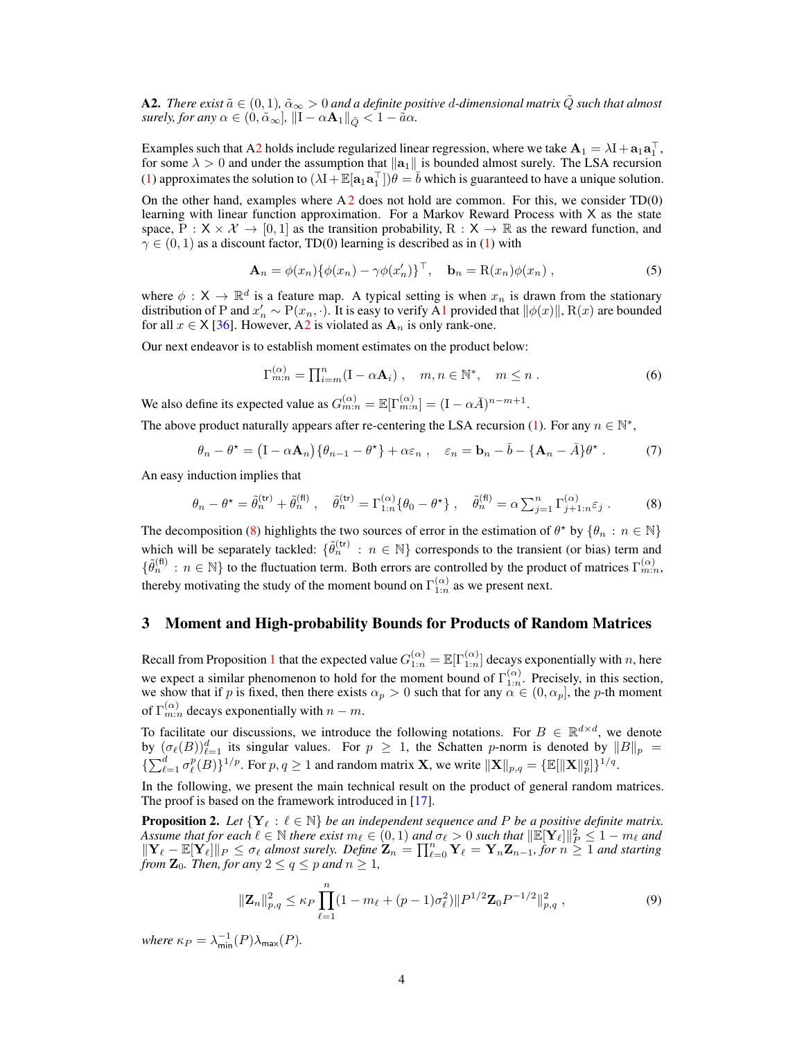A2. *There exist*  $\tilde{a} \in (0,1)$ ,  $\tilde{\alpha}_{\infty} > 0$  and a definite positive d-dimensional matrix  $\tilde{Q}$  such that almost *surely, for any*  $\alpha \in (0, \tilde{\alpha}_{\infty}]$ ,  $\|I - \alpha \mathbf{A}_1\|_{\tilde{Q}} < 1 - \tilde{a}\alpha$ .

Examples such that [A2](#page-2-6) holds include regularized linear regression, where we take  $A_1 = \lambda I + a_1 a_1^T$ , for some  $\lambda > 0$  and under the assumption that  $\|\mathbf{a}_1\|$  is bounded almost surely. The LSA recursion [\(1\)](#page-0-0) approximates the solution to  $(\lambda I + \mathbb{E}[a_1 a_1^\top])\theta = \overline{b}$  which is guaranteed to have a unique solution.

On the other hand, examples where  $A2$  $A2$  does not hold are common. For this, we consider  $TD(0)$ learning with linear function approximation. For a Markov Reward Process with  $X$  as the state space,  $P : X \times X \to [0, 1]$  as the transition probability,  $R : X \to \mathbb{R}$  as the reward function, and  $\gamma \in (0, 1)$  as a discount factor, TD(0) learning is described as in [\(1\)](#page-0-0) with

$$
\mathbf{A}_n = \phi(x_n) \{ \phi(x_n) - \gamma \phi(x'_n) \}^\top, \quad \mathbf{b}_n = \mathbf{R}(x_n) \phi(x_n) \;, \tag{5}
$$

where  $\phi : X \to \mathbb{R}^d$  is a feature map. A typical setting is when  $x_n$  is drawn from the stationary distribution of P and  $x'_n \sim P(x_n, \cdot)$ . It is easy to verify [A1](#page-2-1) provided that  $\|\phi(x)\|$ , R(x) are bounded for all  $x \in X$  [\[36\]](#page-11-5). However, [A2](#page-2-6) is violated as  $A_n$  is only rank-one.

Our next endeavor is to establish moment estimates on the product below:

<span id="page-3-4"></span>
$$
\Gamma_{m:n}^{(\alpha)} = \prod_{i=m}^{n} (I - \alpha \mathbf{A}_i) , \quad m, n \in \mathbb{N}^*, \quad m \le n .
$$
 (6)

We also define its expected value as  $G_{m:n}^{(\alpha)} = \mathbb{E}[\Gamma_{m:n}^{(\alpha)}] = (I - \alpha \bar{A})^{n-m+1}$ .

The above product naturally appears after re-centering the LSA recursion [\(1\)](#page-0-0). For any  $n \in \mathbb{N}^*$ ,

<span id="page-3-1"></span>
$$
\theta_n - \theta^* = (I - \alpha \mathbf{A}_n) \{ \theta_{n-1} - \theta^* \} + \alpha \varepsilon_n , \quad \varepsilon_n = \mathbf{b}_n - \bar{b} - \{ \mathbf{A}_n - \bar{A} \} \theta^* . \tag{7}
$$

An easy induction implies that

$$
\theta_n - \theta^* = \tilde{\theta}_n^{(\text{tr})} + \tilde{\theta}_n^{(\text{fl})}, \quad \tilde{\theta}_n^{(\text{tr})} = \Gamma_{1:n}^{(\alpha)} \{ \theta_0 - \theta^* \}, \quad \tilde{\theta}_n^{(\text{fl})} = \alpha \sum_{j=1}^n \Gamma_{j+1:n}^{(\alpha)} \varepsilon_j . \tag{8}
$$

The decomposition [\(8\)](#page-3-1) highlights the two sources of error in the estimation of  $\theta^*$  by  $\{\theta_n : n \in \mathbb{N}\}\$ which will be separately tackled:  $\{\tilde{\theta}_n^{(\text{tr})} : n \in \mathbb{N}\}$  corresponds to the transient (or bias) term and  $\{\tilde{\theta}_n^{(\text{fl})}: n \in \mathbb{N}\}\)$  to the fluctuation term. Both errors are controlled by the product of matrices  $\Gamma_{m:n}^{(\alpha)}$ , thereby motivating the study of the moment bound on  $\Gamma_{1:n}^{(\alpha)}$  as we present next.

## <span id="page-3-0"></span>3 Moment and High-probability Bounds for Products of Random Matrices

Recall from Proposition [1](#page-2-7) that the expected value  $G_{1:n}^{(\alpha)} = \mathbb{E}[\Gamma_{1:n}^{(\alpha)}]$  decays exponentially with n, here we expect a similar phenomenon to hold for the moment bound of  $\Gamma_{1:n}^{(\alpha)}$ . Precisely, in this section, we show that if p is fixed, then there exists  $\alpha_p > 0$  such that for any  $\alpha \in (0, \alpha_p]$ , the p-th moment of  $\Gamma_{m:n}^{(\alpha)}$  decays exponentially with  $n-m$ .

To facilitate our discussions, we introduce the following notations. For  $B \in \mathbb{R}^{d \times d}$ , we denote by  $(\sigma_{\ell}(B))_{\ell=1}^d$  its singular values. For  $p \geq 1$ , the Schatten p-norm is denoted by  $||B||_p =$  $\{\sum_{\ell=1}^d \sigma_\ell^p(B)\}^{1/p}$ . For  $p, q \ge 1$  and random matrix **X**, we write  $\|\mathbf{X}\|_{p,q} = \{\mathbb{E}[\|\mathbf{X}\|_p^q]\}^{1/q}$ .

In the following, we present the main technical result on the product of general random matrices. The proof is based on the framework introduced in [\[17\]](#page-10-10).

<span id="page-3-2"></span>**Proposition 2.** Let  $\{Y_\ell : \ell \in \mathbb{N}\}$  be an independent sequence and P be a positive definite matrix. *Assume that for each*  $\ell \in \mathbb{N}$  *there exist*  $m_{\ell} \in (0, 1)$  *and*  $\sigma_{\ell} > 0$  *such that*  $\|\mathbb{E}[\mathbf{Y}_{\ell}]\|_{P}^{2} \leq 1 - m_{\ell}$  *and*  $\|\mathbf{Y}_{\ell} - \mathbb{E}[\mathbf{Y}_{\ell}]\|_{P} \leq \sigma_{\ell}$  *almost surely. Define*  $\mathbf{Z}_{n} = \prod_{\ell=0}^{n} \mathbf{Y}_{\ell} = \mathbf{Y}_{n} \mathbf{Z}_{n-1}$ , for  $n \geq 1$  *and starting from*  $\mathbb{Z}_0$ *. Then, for any*  $2 \le q \le p$  *and*  $n \ge 1$ *,* 

<span id="page-3-3"></span>
$$
\|\mathbf{Z}_n\|_{p,q}^2 \le \kappa_P \prod_{\ell=1}^n (1 - m_\ell + (p-1)\sigma_\ell^2) \|P^{1/2}\mathbf{Z}_0 P^{-1/2}\|_{p,q}^2 ,\qquad (9)
$$

*where*  $\kappa_P = \lambda_{\min}^{-1}(P)\lambda_{\max}(P)$ *.*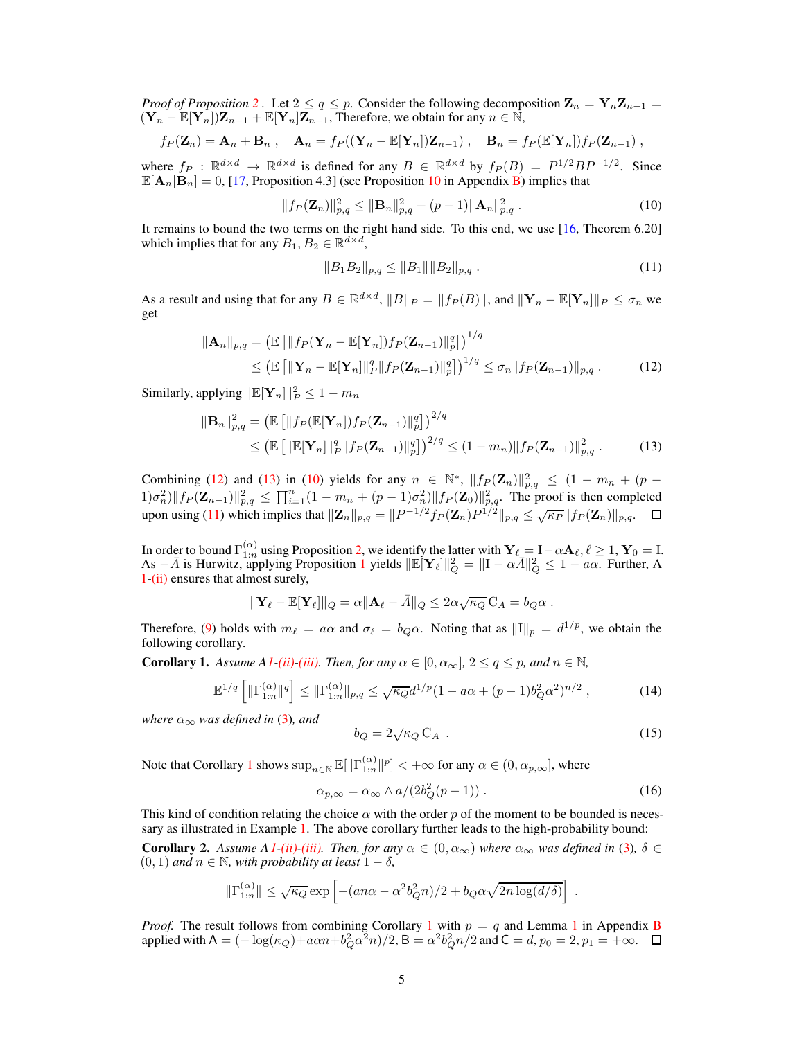*Proof of Proposition* [2](#page-3-2). Let  $2 \le q \le p$ . Consider the following decomposition  $\mathbf{Z}_n = \mathbf{Y}_n \mathbf{Z}_{n-1}$  $(\mathbf{Y}_n - \mathbb{E}[\mathbf{Y}_n])\mathbf{Z}_{n-1} + \mathbb{E}[\mathbf{Y}_n]\mathbf{Z}_{n-1}$ , Therefore, we obtain for any  $n \in \mathbb{N}$ ,

$$
f_P(\mathbf{Z}_n) = \mathbf{A}_n + \mathbf{B}_n , \quad \mathbf{A}_n = f_P((\mathbf{Y}_n - \mathbb{E}[\mathbf{Y}_n])\mathbf{Z}_{n-1}), \quad \mathbf{B}_n = f_P(\mathbb{E}[\mathbf{Y}_n])f_P(\mathbf{Z}_{n-1}),
$$

where  $f_P : \mathbb{R}^{d \times d} \to \mathbb{R}^{d \times d}$  is defined for any  $B \in \mathbb{R}^{d \times d}$  by  $f_P(B) = P^{1/2}BP^{-1/2}$ . Since  $\mathbb{E}[\mathbf{A}_n|\mathbf{B}_n] = 0$ , [\[17](#page-10-10), Proposition 4.3] (see Proposition [10](#page-11-6) in Appendix [B\)](#page-11-7) implies that

$$
||f_P(\mathbf{Z}_n)||_{p,q}^2 \le ||\mathbf{B}_n||_{p,q}^2 + (p-1)||\mathbf{A}_n||_{p,q}^2.
$$
 (10)

It remains to bound the two terms on the right hand side. To this end, we use [\[16,](#page-10-13) Theorem 6.20] which implies that for any  $B_1, B_2 \in \mathbb{R}^{d \times d}$ ,

<span id="page-4-3"></span><span id="page-4-2"></span><span id="page-4-1"></span><span id="page-4-0"></span>
$$
||B_1B_2||_{p,q} \le ||B_1|| ||B_2||_{p,q} . \tag{11}
$$

As a result and using that for any  $B \in \mathbb{R}^{d \times d}$ ,  $||B||_P = ||f_P(B)||$ , and  $||\mathbf{Y}_n - \mathbb{E}[\mathbf{Y}_n]||_P \le \sigma_n$  we get

$$
\|\mathbf{A}_{n}\|_{p,q} = \left(\mathbb{E}\left[\|f_{P}(\mathbf{Y}_{n} - \mathbb{E}[\mathbf{Y}_{n}])f_{P}(\mathbf{Z}_{n-1})\|_{p}^{q}\right]\right)^{1/q} \leq (\mathbb{E}\left[\|\mathbf{Y}_{n} - \mathbb{E}[\mathbf{Y}_{n}]\|_{p}^{q}\|f_{P}(\mathbf{Z}_{n-1})\|_{p}^{q}\right)^{1/q} \leq \sigma_{n} \|f_{P}(\mathbf{Z}_{n-1})\|_{p,q}. \tag{12}
$$

Similarly, applying  $\|\mathbb{E}[\mathbf{Y}_n]\|_P^2 \leq 1 - m_n$ 

$$
\|\mathbf{B}_{n}\|_{p,q}^{2} = \left(\mathbb{E}\left[\|f_{P}(\mathbb{E}[\mathbf{Y}_{n}])f_{P}(\mathbf{Z}_{n-1})\|_{p}^{q}\right]\right)^{2/q} \leq \left(\mathbb{E}\left[\|\mathbb{E}[\mathbf{Y}_{n}]\|_{p}^{q}\|f_{P}(\mathbf{Z}_{n-1})\|_{p}^{q}\right]\right)^{2/q} \leq (1-m_{n})\|f_{P}(\mathbf{Z}_{n-1})\|_{p,q}^{2}. \tag{13}
$$

Combining [\(12\)](#page-4-0) and [\(13\)](#page-4-1) in [\(10\)](#page-4-2) yields for any  $n \in \mathbb{N}^*$ ,  $|| f_P(\mathbf{Z}_n) ||_{p,q}^2 \leq (1 - m_n + (p \|f_{P}(\mathbf{Z}_{n-1})\|_{p,q}^2 \leq \prod_{i=1}^n (1 - m_n + (p-1)\sigma_n^2) \|f_{P}(\mathbf{Z}_0)\|_{p,q}^2$ . The proof is then completed upon using [\(11\)](#page-4-3) which implies that  $||\mathbf{Z}_n||_{p,q} = ||P^{-1/2}f_P(\mathbf{Z}_n)P^{1/2}||_{p,q} \leq \sqrt{\kappa_P}||f_P(\mathbf{Z}_n)||_{p,q}$ .

In order to bound  $\Gamma_{1:n}^{(\alpha)}$  using Proposition [2,](#page-3-2) we identify the latter with  $\mathbf{Y}_{\ell} = \mathbf{I} - \alpha \mathbf{A}_{\ell}, \ell \geq 1, \mathbf{Y}_0 = \mathbf{I}$ . As  $-\bar{A}$  is Hurwitz, applying Proposition [1](#page-2-7) yields  $\|\mathbb{E}[\mathbf{Y}_{\ell}]\|_{Q}^{2} = \|\mathbf{I} - \alpha \bar{A}\|_{Q}^{2} \leq 1 - a\alpha$ . Further, A [1-](#page-2-1)[\(ii\)](#page-2-3) ensures that almost surely,

$$
\|\mathbf{Y}_{\ell}-\mathbb{E}[\mathbf{Y}_{\ell}]\|_{Q}=\alpha\|\mathbf{A}_{\ell}-\bar{A}\|_{Q}\leq 2\alpha\sqrt{\kappa_{Q}}\,\mathrm{C}_{A}=b_{Q}\alpha.
$$

Therefore, [\(9\)](#page-3-3) holds with  $m_{\ell} = a\alpha$  and  $\sigma_{\ell} = b_Q \alpha$ . Noting that as  $||I||_p = d^{1/p}$ , we obtain the following corollary.

<span id="page-4-4"></span>**Corollary 1.** *Assume [A1](#page-2-1)[-\(ii\)-](#page-2-3)[\(iii\).](#page-2-4) Then, for any*  $\alpha \in [0, \alpha_{\infty}]$ ,  $2 \le q \le p$ , and  $n \in \mathbb{N}$ ,

$$
\mathbb{E}^{1/q} \left[ \|\Gamma_{1:n}^{(\alpha)}\|^q \right] \le \|\Gamma_{1:n}^{(\alpha)}\|_{p,q} \le \sqrt{\kappa_Q} d^{1/p} (1 - a\alpha + (p-1)b_Q^2 \alpha^2)^{n/2} ,\tag{14}
$$

*where*  $\alpha_{\infty}$  *was defined in* [\(3\)](#page-2-8)*, and* 

$$
b_Q = 2\sqrt{\kappa_Q} \, \mathcal{C}_A \tag{15}
$$

<span id="page-4-6"></span>.

Note that Corollary [1](#page-4-4) shows  $\sup_{n\in\mathbb{N}}\mathbb{E}[\|\Gamma_{1:n}^{(\alpha)}\|^p]<+\infty$  for any  $\alpha\in(0,\alpha_{p,\infty}]$ , where

$$
\alpha_{p,\infty} = \alpha_{\infty} \wedge a/(2b_Q^2(p-1)) \,. \tag{16}
$$

This kind of condition relating the choice  $\alpha$  with the order p of the moment to be bounded is necessary as illustrated in Example [1.](#page-2-9) The above corollary further leads to the high-probability bound:

<span id="page-4-5"></span>**Corollary 2.** Assume A<sub>[1](#page-2-1)</sub><sup>*[-\(ii\)-](#page-2-3)[\(iii\).](#page-2-4)* Then, for any  $\alpha \in (0, \alpha_{\infty})$  where  $\alpha_{\infty}$  was defined in [\(3\)](#page-2-8),  $\delta \in$ </sup> (0, 1) *and* <sup>n</sup> <sup>∈</sup> <sup>N</sup>*, with probability at least* <sup>1</sup> <sup>−</sup> <sup>δ</sup>*,*

$$
\|\Gamma_{1:n}^{(\alpha)}\| \le \sqrt{\kappa_Q} \exp\left[ -(an\alpha - \alpha^2 b_Q^2 n)/2 + b_Q \alpha \sqrt{2n \log(d/\delta)} \right]
$$

*Proof.* The result follows from combining Corollary [1](#page-11-8) with  $p = q$  and Lemma 1 in Appendix [B](#page-11-7) applied with  $A = (-\log(\kappa_Q) + a\alpha n + b_Q^2 \alpha^2 n)/2$ ,  $B = \alpha^2 b_Q^2 n/2$  and  $C = d$ ,  $p_0 = 2$ ,  $p_1 = +\infty$ .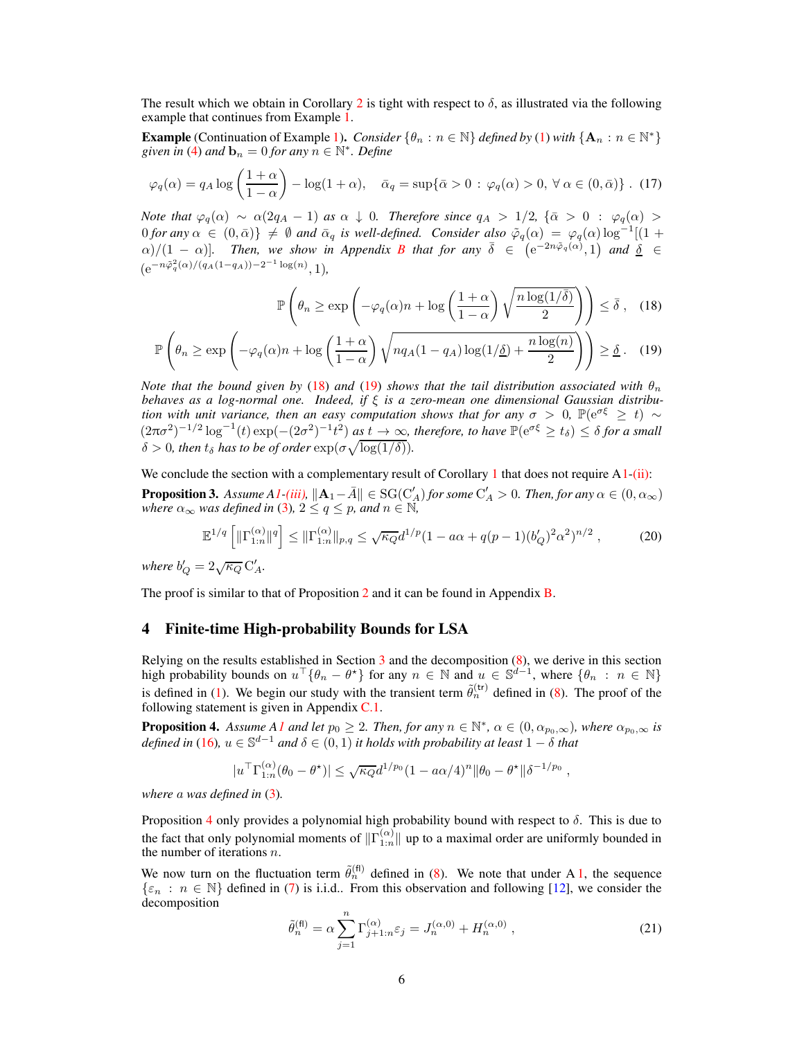The result which we obtain in Corollary [2](#page-4-5) is tight with respect to  $\delta$ , as illustrated via the following example that continues from Example [1.](#page-2-9)

**Example** (Continuation of Example [1\)](#page-2-9). *Consider*  $\{\theta_n : n \in \mathbb{N}\}\$  *defined by* [\(1\)](#page-0-0) *with*  $\{A_n : n \in \mathbb{N}^*\}$ given  $\hat{i}n$  [\(4\)](#page-2-5) and  $\mathbf{b}_n = 0$  for any  $n \in \mathbb{N}^*$ . Define

$$
\varphi_q(\alpha) = q_A \log \left( \frac{1+\alpha}{1-\alpha} \right) - \log(1+\alpha), \quad \bar{\alpha}_q = \sup \{ \bar{\alpha} > 0 \, : \, \varphi_q(\alpha) > 0, \, \forall \, \alpha \in (0, \bar{\alpha}) \} \, . \tag{17}
$$

*Note that*  $\varphi_q(\alpha) \sim \alpha(2q_A - 1)$  *as*  $\alpha \downarrow 0$ *. Therefore since*  $q_A > 1/2$ ,  $\{\bar{\alpha} > 0 : \varphi_q(\alpha) > 0\}$  $0$  *for any*  $\alpha \in (0, \bar{\alpha})\} \neq \emptyset$  *and*  $\bar{\alpha}_q$  *is well-defined. Consider also*  $\tilde{\varphi}_q(\alpha) = \varphi_q(\alpha) \log^{-1}[(1 + \alpha_1)^2]$  $\alpha$ )/(1 –  $\alpha$ )]. Then, we show in Appendix [B](#page-11-7) that for any  $\bar{\delta} \in (\mathrm{e}^{-2n\tilde{\varphi}_q(\alpha)}, 1)$  and  $\bar{\underline{\delta}} \in \mathrm{e}$  $(e^{-n\tilde{\varphi}_q^2(\alpha)/(q_A(1-q_A))-2^{-1}\log(n)}, 1),$ 

<span id="page-5-2"></span><span id="page-5-1"></span>
$$
\mathbb{P}\left(\theta_n \ge \exp\left(-\varphi_q(\alpha)n + \log\left(\frac{1+\alpha}{1-\alpha}\right)\sqrt{\frac{n\log(1/\bar{\delta})}{2}}\right)\right) \le \bar{\delta}, \quad (18)
$$

$$
\mathbb{P}\left(\theta_n \ge \exp\left(-\varphi_q(\alpha)n + \log\left(\frac{1+\alpha}{1-\alpha}\right)\sqrt{nq_A(1-q_A)\log(1/\underline{\delta}) + \frac{n\log(n)}{2}}\right)\right) \ge \underline{\delta} \,. \tag{19}
$$

*Note that the bound given by* [\(18\)](#page-5-1) *and* [\(19\)](#page-5-2) *shows that the tail distribution associated with*  $\theta_n$ *behaves as a log-normal one. Indeed, if* ξ *is a zero-mean one dimensional Gaussian distribution with unit variance, then an easy computation shows that for any*  $\sigma > 0$ ,  $\mathbb{P}(\mathrm{e}^{\sigma \xi} \geq t) \sim$  $(2\pi\sigma^2)^{-1/2}\log^{-1}(t)\exp(-(2\sigma^2)^{-1}t^2)$  as  $t\to\infty$ , therefore, to have  $\mathbb{P}(\mathrm{e}^{\sigma\xi}\geq t_\delta)\leq\delta$  for a small  $\delta > 0$ , then  $t_{\delta}$  has to be of order  $\exp(\sigma \sqrt{\log(1/\delta)})$ .

<span id="page-5-5"></span>We conclude the section with a complementary result of Corollary [1](#page-4-4) that does not require  $A1-(ii)$  $A1-(ii)$ :

**Proposition 3.** Assume  $AI$ [-\(iii\),](#page-2-4)  $||A_1 - \bar{A}|| \in \text{SG}(C'_A)$  for some  $C'_A > 0$ . Then, for any  $\alpha \in (0, \alpha_{\infty})$ *where*  $\alpha_{\infty}$  *was defined in* [\(3\)](#page-2-8),  $2 \le q \le p$ *, and*  $n \in \mathbb{N}$ ,

$$
\mathbb{E}^{1/q} \left[ \|\Gamma_{1:n}^{(\alpha)}\|^q \right] \le \|\Gamma_{1:n}^{(\alpha)}\|_{p,q} \le \sqrt{\kappa_Q} d^{1/p} (1 - a\alpha + q(p-1)(b_Q')^2 \alpha^2)^{n/2}, \tag{20}
$$

*where*  $b'_Q = 2\sqrt{\kappa_Q} C'_A$ *.* 

<span id="page-5-0"></span>The proof is similar to that of Proposition [2](#page-3-2) and it can be found in Appendix **B**.

## 4 Finite-time High-probability Bounds for LSA

Relying on the results established in Section  $3$  and the decomposition  $(8)$ , we derive in this section high probability bounds on  $u^{\top} \{\theta_n - \theta^{\star}\}\$  for any  $n \in \mathbb{N}$  and  $u \in \mathbb{S}^{d-1}$ , where  $\{\theta_n : n \in \mathbb{N}\}\$ is defined in [\(1\)](#page-0-0). We begin our study with the transient term  $\tilde{\theta}_n^{(tr)}$  defined in [\(8\)](#page-3-1). The proof of the following statement is given in Appendix [C.1.](#page-14-0)

<span id="page-5-3"></span>**Proposition 4.** Assume [A1](#page-2-1) and let  $p_0 \geq 2$ . Then, for any  $n \in \mathbb{N}^*$ ,  $\alpha \in (0, \alpha_{p_0,\infty})$ , where  $\alpha_{p_0,\infty}$  is *defined in* [\(16\)](#page-4-6)*,*  $u \in \mathbb{S}^{d-1}$  *and*  $\delta \in (0,1)$  *it holds with probability at least*  $1 - \delta$  *that* 

$$
|u^{\top} \Gamma_{1:n}^{(\alpha)}(\theta_0 - \theta^{\star})| \leq \sqrt{\kappa_Q} d^{1/p_0} (1 - a\alpha/4)^n ||\theta_0 - \theta^{\star}||\delta^{-1/p_0},
$$

*where* a *was defined in* [\(3\)](#page-2-8)*.*

Proposition [4](#page-5-3) only provides a polynomial high probability bound with respect to  $\delta$ . This is due to the fact that only polynomial moments of  $\|\Gamma_{1:n}^{(\alpha)}\|$  up to a maximal order are uniformly bounded in the number of iterations  $n$ .

We now turn on the fluctuation term  $\tilde{\theta}_n^{(\text{fl})}$  defined in [\(8\)](#page-3-1). We note that under A [1,](#page-2-1) the sequence  $\{\varepsilon_n : n \in \mathbb{N}\}\$  defined in [\(7\)](#page-3-4) is i.i.d.. From this observation and following [\[12\]](#page-9-7), we consider the decomposition

<span id="page-5-4"></span>
$$
\tilde{\theta}_n^{(\text{fl})} = \alpha \sum_{j=1}^n \Gamma_{j+1:n}^{(\alpha)} \varepsilon_j = J_n^{(\alpha,0)} + H_n^{(\alpha,0)} \,, \tag{21}
$$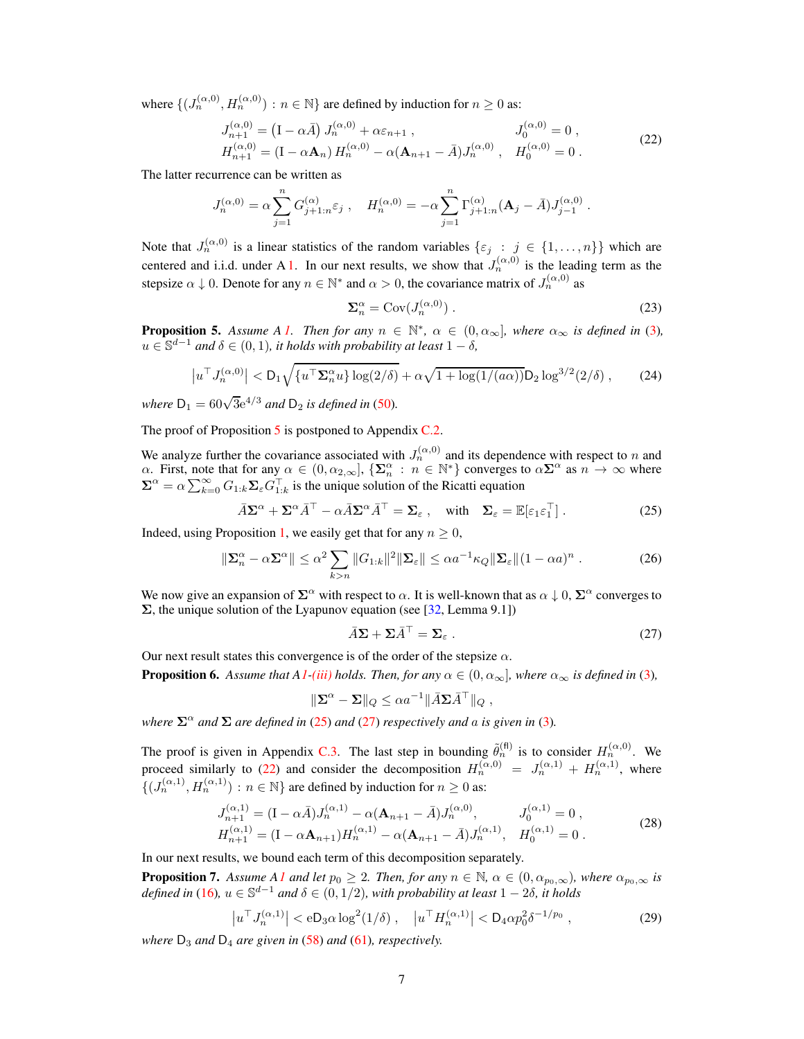where  $\{(J_n^{(\alpha,0)}, H_n^{(\alpha,0)}): n \in \mathbb{N}\}\$  are defined by induction for  $n \geq 0$  as:

$$
J_{n+1}^{(\alpha,0)} = (I - \alpha \bar{A}) J_n^{(\alpha,0)} + \alpha \varepsilon_{n+1} , \qquad J_0^{(\alpha,0)} = 0 ,
$$
  
\n
$$
H_{n+1}^{(\alpha,0)} = (I - \alpha \mathbf{A}_n) H_n^{(\alpha,0)} - \alpha (\mathbf{A}_{n+1} - \bar{A}) J_n^{(\alpha,0)} , \quad H_0^{(\alpha,0)} = 0 .
$$
\n(22)

The latter recurrence can be written as

$$
J_n^{(\alpha,0)} = \alpha \sum_{j=1}^n G_{j+1:n}^{(\alpha)} \varepsilon_j , \quad H_n^{(\alpha,0)} = -\alpha \sum_{j=1}^n \Gamma_{j+1:n}^{(\alpha)} (\mathbf{A}_j - \bar{A}) J_{j-1}^{(\alpha,0)} .
$$

Note that  $J_n^{(\alpha,0)}$  is a linear statistics of the random variables  $\{\varepsilon_j : j \in \{1,\ldots,n\}\}\$  which are centered and i.i.d. under A [1.](#page-2-1) In our next results, we show that  $J_n^{(\alpha,0)}$  is the leading term as the stepsize  $\alpha \downarrow 0$ . Denote for any  $n \in \mathbb{N}^*$  and  $\alpha > 0$ , the covariance matrix of  $J_n^{(\alpha,0)}$  as

<span id="page-6-3"></span>
$$
\Sigma_n^{\alpha} = \text{Cov}(J_n^{(\alpha,0)}) \tag{23}
$$

<span id="page-6-0"></span>**Proposition 5.** Assume A [1.](#page-2-1) Then for any  $n \in \mathbb{N}^*$ ,  $\alpha \in (0, \alpha_{\infty})$ , where  $\alpha_{\infty}$  is defined in [\(3\)](#page-2-8),  $u \in \mathbb{S}^{d-1}$  *and*  $\delta \in (0,1)$ *, it holds with probability at least*  $1 - \delta$ *,* 

$$
\left| u^{\top} J_n^{(\alpha,0)} \right| < D_1 \sqrt{\{ u^{\top} \Sigma_n^{\alpha} u \} \log(2/\delta)} + \alpha \sqrt{1 + \log(1/(a\alpha))} D_2 \log^{3/2}(2/\delta) \,, \tag{24}
$$

*where*  $D_1 = 60\sqrt{3}e^{4/3}$  *and*  $D_2$  *is defined in* [\(50\)](#page-14-1).

The proof of Proposition [5](#page-6-0) is postponed to Appendix [C.2.](#page-14-2)

We analyze further the covariance associated with  $J_n^{(\alpha,0)}$  and its dependence with respect to n and  $\alpha$ . First, note that for any  $\alpha \in (0, \alpha_{2,\infty}]$ ,  $\{\Sigma_n^{\alpha} : n \in \mathbb{N}^*\}$  converges to  $\alpha \Sigma^{\alpha}$  as  $n \to \infty$  where  $\Sigma^{\alpha} = \alpha \sum_{k=0}^{\infty} G_{1:k} \Sigma_{\varepsilon} G_{1:k}^{\top}$  is the unique solution of the Ricatti equation

$$
\bar{A}\Sigma^{\alpha} + \Sigma^{\alpha}\bar{A}^{\top} - \alpha\bar{A}\Sigma^{\alpha}\bar{A}^{\top} = \Sigma_{\varepsilon} , \quad \text{with} \quad \Sigma_{\varepsilon} = \mathbb{E}[\varepsilon_1\varepsilon_1^{\top}]. \tag{25}
$$

Indeed, using Proposition [1,](#page-2-7) we easily get that for any  $n \geq 0$ ,

$$
\|\Sigma_n^{\alpha} - \alpha \Sigma^{\alpha}\| \le \alpha^2 \sum_{k > n} \|G_{1:k}\|^2 \|\Sigma_{\varepsilon}\| \le \alpha a^{-1} \kappa_Q \|\Sigma_{\varepsilon}\| (1 - \alpha a)^n . \tag{26}
$$

We now give an expansion of  $\Sigma^{\alpha}$  with respect to  $\alpha$ . It is well-known that as  $\alpha \downarrow 0$ ,  $\Sigma^{\alpha}$  converges to  $\Sigma$ , the unique solution of the Lyapunov equation (see [\[32](#page-10-14), Lemma 9.1])

<span id="page-6-6"></span><span id="page-6-2"></span><span id="page-6-1"></span>
$$
\bar{A}\Sigma + \Sigma \bar{A}^{\top} = \Sigma_{\varepsilon} \,. \tag{27}
$$

<span id="page-6-7"></span>Our next result states this convergence is of the order of the stepsize  $\alpha$ .

**Proposition 6.** Assume that [A1](#page-2-1)<sup>*[-\(iii\)](#page-2-4)* holds. Then, for any  $\alpha \in (0, \alpha_{\infty})$ , where  $\alpha_{\infty}$  is defined in [\(3\)](#page-2-8),</sup>

<span id="page-6-8"></span><span id="page-6-5"></span>
$$
\|\Sigma^{\alpha} - \Sigma\|_{Q} \leq \alpha a^{-1} \|\bar{A}\Sigma \bar{A}^{\top}\|_{Q} ,
$$

*where*  $\Sigma^{\alpha}$  *and*  $\Sigma$  *are defined in* [\(25\)](#page-6-1) *and* [\(27\)](#page-6-2) *respectively and a is given in* [\(3\)](#page-2-8)*.* 

The proof is given in Appendix [C.3.](#page-14-3) The last step in bounding  $\tilde{\theta}_n^{(\text{fl})}$  is to consider  $H_n^{(\alpha,0)}$ . We proceed similarly to [\(22\)](#page-6-3) and consider the decomposition  $H_n^{(\alpha,0)} = J_n^{(\alpha,1)} + H_n^{(\alpha,1)}$ , where  $\{(J_n^{(\alpha,1)}, H_n^{(\alpha,1)}): n \in \mathbb{N}\}\$  are defined by induction for  $n \geq 0$  as:

$$
J_{n+1}^{(\alpha,1)} = (\mathbf{I} - \alpha \bar{A}) J_n^{(\alpha,1)} - \alpha (\mathbf{A}_{n+1} - \bar{A}) J_n^{(\alpha,0)}, \qquad J_0^{(\alpha,1)} = 0 ,
$$
  
\n
$$
H_{n+1}^{(\alpha,1)} = (\mathbf{I} - \alpha \mathbf{A}_{n+1}) H_n^{(\alpha,1)} - \alpha (\mathbf{A}_{n+1} - \bar{A}) J_n^{(\alpha,1)}, \qquad H_0^{(\alpha,1)} = 0 .
$$
\n(28)

<span id="page-6-4"></span>In our next results, we bound each term of this decomposition separately.

**Proposition 7.** Assume A<sub></sub>*[1](#page-2-1)* and let  $p_0 \geq 2$ . Then, for any  $n \in \mathbb{N}$ ,  $\alpha \in (0, \alpha_{p_0,\infty})$ , where  $\alpha_{p_0,\infty}$  is *defined in* [\(16\)](#page-4-6)*,*  $u \in \mathbb{S}^{d-1}$  *and*  $\delta \in (0,1/2)$ *, with probability at least*  $1-2\delta$ *, it holds* 

$$
\left|u^{\top} J_n^{(\alpha,1)}\right| < \mathbf{e} \mathbf{D}_3 \alpha \log^2(1/\delta) \,, \quad \left|u^{\top} H_n^{(\alpha,1)}\right| < \mathbf{D}_4 \alpha p_0^2 \delta^{-1/p_0} \,, \tag{29}
$$

*where*  $D_3$  *and*  $D_4$  *are given in* [\(58\)](#page-15-0) *and* [\(61\)](#page-16-0)*, respectively.*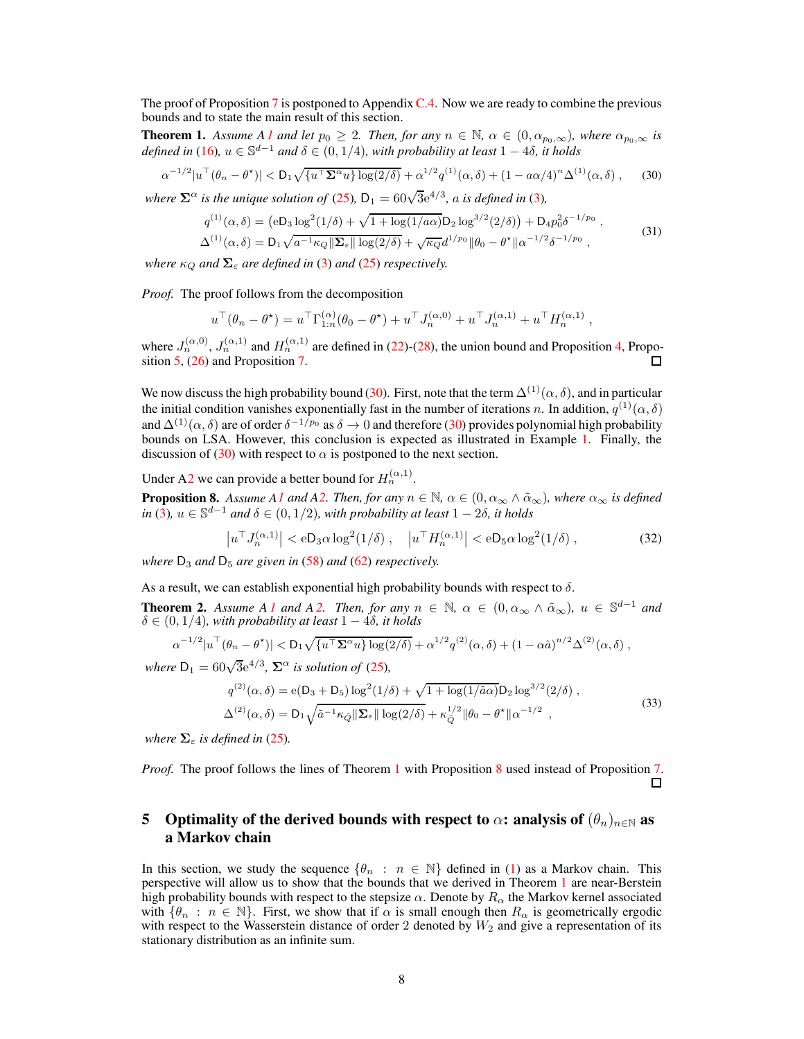<span id="page-7-0"></span>The proof of Proposition [7](#page-6-4) is postponed to Appendix [C.4.](#page-15-1) Now we are ready to combine the previous bounds and to state the main result of this section.

**Theorem 1.** Assume [A1](#page-2-1) and let  $p_0 \geq 2$ . Then, for any  $n \in \mathbb{N}$ ,  $\alpha \in (0, \alpha_{p_0,\infty})$ , where  $\alpha_{p_0,\infty}$  is *defined in* [\(16\)](#page-4-6)*,*  $u \in \mathbb{S}^{d-1}$  *and*  $\delta \in (0, 1/4)$ *, with probability at least*  $1 - 4\delta$ *, it holds* 

$$
\alpha^{-1/2}|u^\top(\theta_n - \theta^\star)| < D_1 \sqrt{\{u^\top \Sigma^\alpha u\} \log(2/\delta)} + \alpha^{1/2} q^{(1)}(\alpha, \delta) + (1 - a\alpha/4)^n \Delta^{(1)}(\alpha, \delta) \,,\tag{30}
$$

*where*  $\mathbf{\Sigma}^{\alpha}$  *is the unique solution of* [\(25\)](#page-6-1),  $D_1 = 60\sqrt{3}e^{4/3}$ *, a is defined in* [\(3\)](#page-2-8)*,* 

<span id="page-7-4"></span><span id="page-7-2"></span>
$$
q^{(1)}(\alpha,\delta) = (eD_3 \log^2(1/\delta) + \sqrt{1 + \log(1/a\alpha)} D_2 \log^{3/2}(2/\delta)) + D_4 p_0^2 \delta^{-1/p_0},
$$
  
\n
$$
\Delta^{(1)}(\alpha,\delta) = D_1 \sqrt{a^{-1} \kappa_Q \|\Sigma_{\varepsilon}\| \log(2/\delta)} + \sqrt{\kappa_Q} d^{1/p_0} \|\theta_0 - \theta^{\star}\| \alpha^{-1/2} \delta^{-1/p_0},
$$
\n(31)

*where*  $\kappa_Q$  *and*  $\Sigma_\varepsilon$  *are defined in* [\(3\)](#page-2-8) *and* [\(25\)](#page-6-1) *respectively.* 

*Proof.* The proof follows from the decomposition

$$
u^{\top}(\theta_n - \theta^*) = u^{\top} \Gamma_{1:n}^{(\alpha)}(\theta_0 - \theta^*) + u^{\top} J_n^{(\alpha,0)} + u^{\top} J_n^{(\alpha,1)} + u^{\top} H_n^{(\alpha,1)},
$$

where  $J_n^{(\alpha,0)}, J_n^{(\alpha,1)}$  and  $H_n^{(\alpha,1)}$  are defined in [\(22\)](#page-6-3)-[\(28\)](#page-6-5), the union bound and Proposition [4,](#page-5-3) Proposition [5,](#page-6-0) [\(26\)](#page-6-6) and Proposition [7.](#page-6-4)

We now discuss the high probability bound [\(30\)](#page-7-2). First, note that the term  $\Delta^{(1)}(\alpha, \delta)$ , and in particular the initial condition vanishes exponentially fast in the number of iterations n. In addition,  $q^{(1)}(\alpha,\delta)$ and  $\Delta^{(1)}(\alpha, \delta)$  are of order  $\delta^{-1/p_0}$  as  $\delta \to 0$  and therefore [\(30\)](#page-7-2) provides polynomial high probability bounds on LSA. However, this conclusion is expected as illustrated in Example [1.](#page-2-9) Finally, the discussion of [\(30\)](#page-7-2) with respect to  $\alpha$  is postponed to the next section.

<span id="page-7-3"></span>Under [A2](#page-2-6) we can provide a better bound for  $H_n^{(\alpha,1)}$ .

**Proposition 8.** Assume [A1](#page-2-1) and [A2.](#page-2-6) Then, for any  $n \in \mathbb{N}$ ,  $\alpha \in (0, \alpha_{\infty} \wedge \tilde{\alpha}_{\infty})$ , where  $\alpha_{\infty}$  is defined  $in (3)$  $in (3)$ ,  $u \in \mathbb{S}^{d-1}$  *and*  $\delta \in (0, 1/2)$ *, with probability at least*  $1 - 2\delta$ *, it holds* 

<span id="page-7-6"></span>
$$
\left|u^{\top} J_n^{(\alpha,1)}\right| < e D_3 \alpha \log^2(1/\delta) \,, \quad \left|u^{\top} H_n^{(\alpha,1)}\right| < e D_5 \alpha \log^2(1/\delta) \,,\tag{32}
$$

*where*  $D_3$  *and*  $D_5$  *are given in* [\(58\)](#page-15-0) *and* [\(62\)](#page-16-1) *respectively.* 

As a result, we can establish exponential high probability bounds with respect to  $\delta$ .

**Theorem [2.](#page-2-6)** Assume A [1](#page-2-1) and A 2. Then, for any  $n \in \mathbb{N}$ ,  $\alpha \in (0, \alpha_{\infty} \wedge \tilde{\alpha}_{\infty})$ ,  $u \in \mathbb{S}^{d-1}$  and  $\delta \in (0, 1/4)$ *, with probability at least*  $1 - 4\delta$ *, it holds* 

$$
\alpha^{-1/2}|u^\top(\theta_n-\theta^\star)|<\mathsf{D}_1\sqrt{\{u^\top\mathbf{\Sigma}^\alpha u\}\log(2/\delta)}+\alpha^{1/2}q^{(2)}(\alpha,\delta)+(1-\alpha\tilde{a})^{n/2}\Delta^{(2)}(\alpha,\delta),
$$

*where*  $D_1 = 60\sqrt{3}e^{4/3}$ ,  $\Sigma^{\alpha}$  *is solution of* [\(25\)](#page-6-1),

$$
q^{(2)}(\alpha, \delta) = e(D_3 + D_5) \log^2(1/\delta) + \sqrt{1 + \log(1/\tilde{a}\alpha)} D_2 \log^{3/2}(2/\delta) ,
$$
  

$$
\Delta^{(2)}(\alpha, \delta) = D_1 \sqrt{\tilde{a}^{-1} \kappa_{\tilde{Q}} || \Sigma_{\varepsilon} || \log(2/\delta)} + \kappa_{\tilde{Q}}^{1/2} || \theta_0 - \theta^* || \alpha^{-1/2} ,
$$
 (33)

*where*  $\Sigma_{\varepsilon}$  *is defined in* [\(25\)](#page-6-1).

*Proof.* The proof follows the lines of Theorem [1](#page-7-0) with Proposition [8](#page-7-3) used instead of Proposition [7.](#page-6-4) П

# <span id="page-7-1"></span>5 Optimality of the derived bounds with respect to  $\alpha$ : analysis of  $(\theta_n)_{n\in\mathbb{N}}$  as a Markov chain

<span id="page-7-5"></span>In this section, we study the sequence  $\{\theta_n : n \in \mathbb{N}\}\$  defined in [\(1\)](#page-0-0) as a Markov chain. This perspective will allow us to show that the bounds that we derived in Theorem [1](#page-7-0) are near-Berstein high probability bounds with respect to the stepsize  $\alpha$ . Denote by  $R_{\alpha}$  the Markov kernel associated with  $\{\theta_n : n \in \mathbb{N}\}$ . First, we show that if  $\alpha$  is small enough then  $R_\alpha$  is geometrically ergodic with respect to the Wasserstein distance of order 2 denoted by  $W_2$  and give a representation of its stationary distribution as an infinite sum.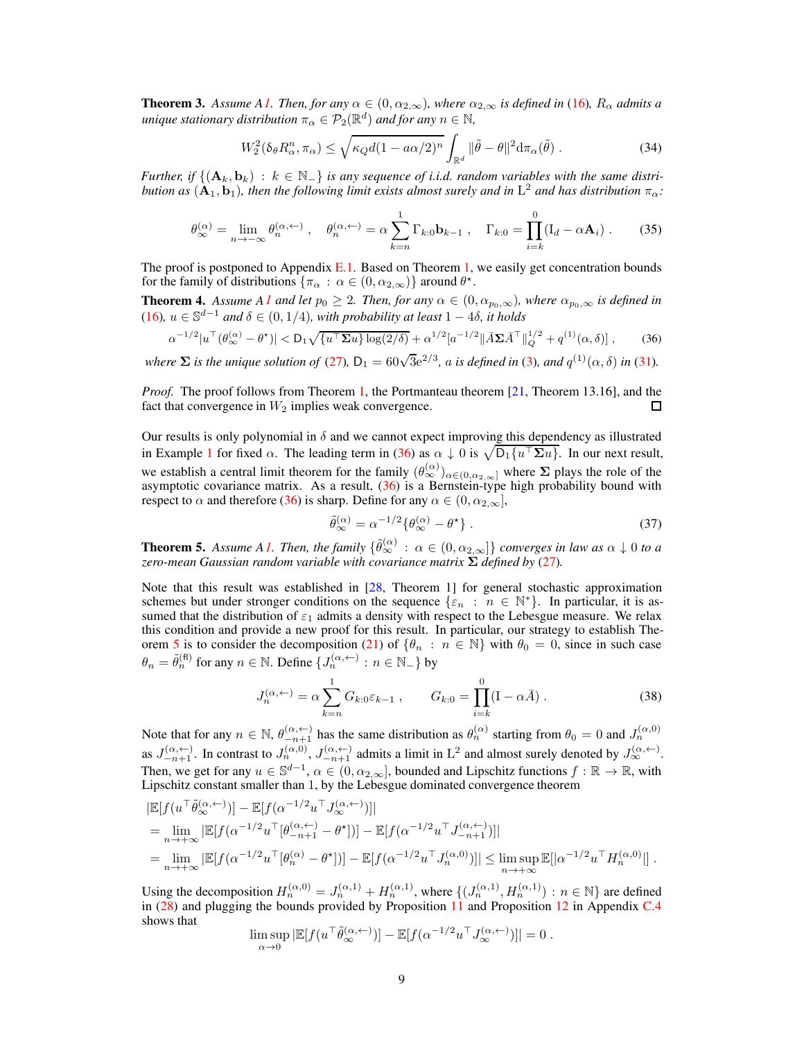**Theorem 3.** Assume [A1.](#page-2-1) Then, for any  $\alpha \in (0, \alpha_{2,\infty})$ , where  $\alpha_{2,\infty}$  is defined in [\(16\)](#page-4-6),  $R_{\alpha}$  admits a *unique stationary distribution*  $\pi_{\alpha} \in \mathcal{P}_2(\mathbb{R}^d)$  *and for any*  $n \in \mathbb{N}$ ,

<span id="page-8-2"></span>
$$
W_2^2(\delta_\theta R_\alpha^n, \pi_\alpha) \le \sqrt{\kappa_Q d (1 - a\alpha/2)^n} \int_{\mathbb{R}^d} \|\tilde{\theta} - \theta\|^2 d\pi_\alpha(\tilde{\theta}) \,. \tag{34}
$$

<span id="page-8-3"></span>*Further, if*  $\{(\mathbf{A}_k, \mathbf{b}_k) : k \in \mathbb{N}_+\}$  *is any sequence of i.i.d. random variables with the same distribution as*  $(A_1, b_1)$ , then the following limit exists almost surely and in  $L^2$  and has distribution  $\pi_{\alpha}$ :

$$
\theta_{\infty}^{(\alpha)} = \lim_{n \to -\infty} \theta_n^{(\alpha, \leftarrow)}, \quad \theta_n^{(\alpha, \leftarrow)} = \alpha \sum_{k=n}^1 \Gamma_{k:0} \mathbf{b}_{k-1}, \quad \Gamma_{k:0} = \prod_{i=k}^0 (\mathbf{I}_d - \alpha \mathbf{A}_i) \ . \tag{35}
$$

The proof is postponed to Appendix  $E.1$ . Based on Theorem [1,](#page-7-0) we easily get concentration bounds for the family of distributions  $\{\pi_{\alpha} : \alpha \in (0, \alpha_{2,\infty})\}$  around  $\theta^*$ .

**Theorem 4.** Assume [A1](#page-2-1) and let  $p_0 \geq 2$ . Then, for any  $\alpha \in (0, \alpha_{p_0,\infty})$ , where  $\alpha_{p_0,\infty}$  is defined in [\(16\)](#page-4-6)*,* <sup>u</sup> <sup>∈</sup> <sup>S</sup> <sup>d</sup>−<sup>1</sup> *and* <sup>δ</sup> <sup>∈</sup> (0, <sup>1</sup>/4)*, with probability at least* <sup>1</sup> <sup>−</sup> <sup>4</sup>δ*, it holds*

$$
\alpha^{-1/2}|u^{\top}(\theta_{\infty}^{(\alpha)} - \theta^{\star})| < D_1 \sqrt{\{u^{\top} \Sigma u\} \log(2/\delta)} + \alpha^{1/2} |a^{-1/2}| |\bar{A} \Sigma \bar{A}^{\top}|_{Q}^{1/2} + q^{(1)}(\alpha, \delta)|,
$$
(36)

*where*  $\Sigma$  *is the unique solution of* [\(27\)](#page-6-2),  $D_1 = 60\sqrt{3}e^{2/3}$ , *a is defined in* [\(3\)](#page-2-8), *and*  $q^{(1)}(\alpha, \delta)$  *in* [\(31\)](#page-7-4).

*Proof.* The proof follows from Theorem [1,](#page-7-0) the Portmanteau theorem [\[21,](#page-10-15) Theorem 13.16], and the fact that convergence in  $W_2$  implies weak convergence.

Our results is only polynomial in  $\delta$  and we cannot expect improving this dependency as illustrated in Example [1](#page-2-9) for fixed  $\alpha$ . The leading term in [\(36\)](#page-8-0) as  $\alpha \downarrow 0$  is  $\sqrt{D_1\{u^\top \Sigma u\}}$ . In our next result, we establish a central limit theorem for the family  $(\theta_{\infty}^{(\alpha)})_{\alpha\in(0,\alpha_{2,\infty}]}$  where  $\Sigma$  plays the role of the asymptotic covariance matrix. As a result, [\(36\)](#page-8-0) is a Bernstein-type high probability bound with respect to  $\alpha$  and therefore [\(36\)](#page-8-0) is sharp. Define for any  $\alpha \in (0, \alpha_{2,\infty}]$ ,

<span id="page-8-0"></span>
$$
\tilde{\theta}_{\infty}^{(\alpha)} = \alpha^{-1/2} \{ \theta_{\infty}^{(\alpha)} - \theta^{\star} \} . \tag{37}
$$

<span id="page-8-1"></span>**Theorem 5.** Assume [A1.](#page-2-1) Then, the family  $\{\widetilde{\theta}_{\infty}^{(\alpha)} : \alpha \in (0, \alpha_{2,\infty}]\}$  converges in law as  $\alpha \downarrow 0$  to a zero-mean Gaussian random variable with covariance matrix  $\Sigma$  defined by [\(27\)](#page-6-2).

Note that this result was established in [\[28](#page-10-9), Theorem 1] for general stochastic approximation schemes but under stronger conditions on the sequence  $\{\varepsilon_n : n \in \mathbb{N}^*\}$ . In particular, it is assumed that the distribution of  $\varepsilon_1$  admits a density with respect to the Lebesgue measure. We relax this condition and provide a new proof for this result. In particular, our strategy to establish The-orem [5](#page-8-1) is to consider the decomposition [\(21\)](#page-5-4) of  $\{\theta_n : n \in \mathbb{N}\}\$  with  $\theta_0 = 0$ , since in such case  $\theta_n = \tilde{\theta}_n^{(\text{fl})}$  for any  $n \in \mathbb{N}$ . Define  $\{J_n^{(\alpha, \leftarrow)} : n \in \mathbb{N}_-\}$  by

$$
J_n^{(\alpha, \leftarrow)} = \alpha \sum_{k=n}^1 G_{k:0} \varepsilon_{k-1} , \qquad G_{k:0} = \prod_{i=k}^0 (I - \alpha \bar{A}) . \tag{38}
$$

Note that for any  $n \in \mathbb{N}$ ,  $\theta_{-n+1}^{(\alpha, \leftarrow)}$  has the same distribution as  $\theta_n^{(\alpha)}$  starting from  $\theta_0 = 0$  and  $J_n^{(\alpha, 0)}$ as  $J_{-n+1}^{(\alpha, \leftarrow)}$ . In contrast to  $J_n^{(\alpha, 0)}$ ,  $J_{-n+1}^{(\alpha, \leftarrow)}$  admits a limit in  $L^2$  and almost surely denoted by  $J_\infty^{(\alpha, \leftarrow)}$ . Then, we get for any  $u \in \mathbb{S}^{d-1}$ ,  $\alpha \in (0, \alpha_{2,\infty}]$ , bounded and Lipschitz functions  $f : \mathbb{R} \to \mathbb{R}$ , with Lipschitz constant smaller than 1, by the Lebesgue dominated convergence theorem

$$
\begin{split} &\left|\mathbb{E}[f(u^\top \tilde{\theta}_{\infty}^{(\alpha, \leftarrow)})] - \mathbb{E}[f(u^{-1/2}u^\top J_{\infty}^{(\alpha, \leftarrow)})]\right|\right| \\ &= \lim_{n \to +\infty} \left|\mathbb{E}[f(u^{-1/2}u^\top [\theta_{-n+1}^{(\alpha, \leftarrow)} - \theta^{\star})]] - \mathbb{E}[f(u^{-1/2}u^\top J_{-n+1}^{(\alpha, \leftarrow)})]\right|\right] \\ &= \lim_{n \to +\infty} \left|\mathbb{E}[f(u^{-1/2}u^\top [\theta_n^{(\alpha)} - \theta^{\star})]] - \mathbb{E}[f(u^{-1/2}u^\top J_n^{(\alpha, 0)})]\right| \leq \limsup_{n \to +\infty} \mathbb{E}[|a^{-1/2}u^\top H_n^{(\alpha, 0)}|] . \end{split}
$$

Using the decomposition  $H_n^{(\alpha,0)} = J_n^{(\alpha,1)} + H_n^{(\alpha,1)}$ , where  $\{ (J_n^{(\alpha,1)}, H_n^{(\alpha,1)}) : n \in \mathbb{N} \}$  are defined in [\(28\)](#page-6-5) and plugging the bounds provided by Proposition [11](#page-15-2) and Proposition [12](#page-15-3) in Appendix [C.4](#page-15-1) shows that

$$
\limsup_{\alpha \to 0} |\mathbb{E}[f(u^\top \tilde{\theta}_{\infty}^{(\alpha, \leftarrow)})] - \mathbb{E}[f(\alpha^{-1/2} u^\top J_{\infty}^{(\alpha, \leftarrow)})]| = 0.
$$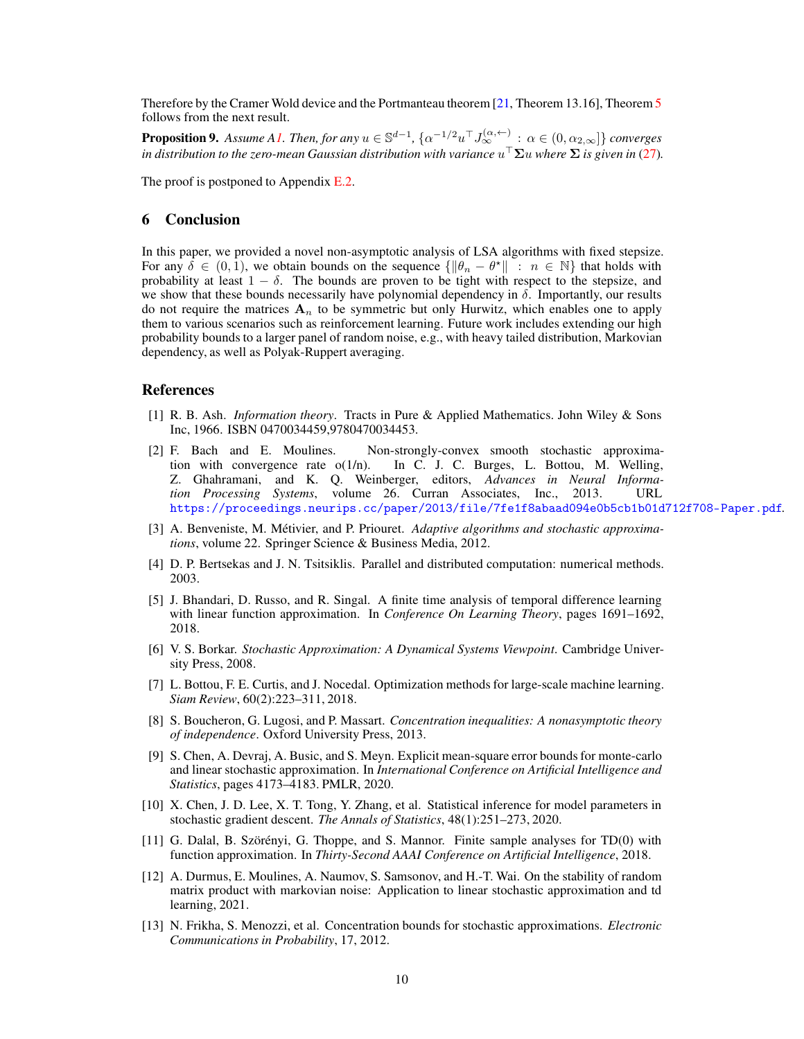<span id="page-9-13"></span>Therefore by the Cramer Wold device and the Portmanteau theorem [\[21,](#page-10-15) Theorem 13.16], Theorem [5](#page-8-1) follows from the next result.

**Proposition 9.** Assume [A1.](#page-2-1) Then, for any  $u \in \mathbb{S}^{d-1}$ ,  $\{\alpha^{-1/2}u^\top J_\infty^{(\alpha, \leftarrow)} : \alpha \in (0, \alpha_{2,\infty}]\}$  converges *in distribution to the zero-mean Gaussian distribution with variance* u <sup>⊤</sup>Σu *where* Σ *is given in* [\(27\)](#page-6-2)*.*

The proof is postponed to Appendix [E.2.](#page-19-0)

## 6 Conclusion

In this paper, we provided a novel non-asymptotic analysis of LSA algorithms with fixed stepsize. For any  $\delta \in (0, 1)$ , we obtain bounds on the sequence  $\{\|\theta_n - \theta^{\star}\| : n \in \mathbb{N}\}$  that holds with probability at least  $1 - \delta$ . The bounds are proven to be tight with respect to the stepsize, and we show that these bounds necessarily have polynomial dependency in  $\delta$ . Importantly, our results do not require the matrices  $A_n$  to be symmetric but only Hurwitz, which enables one to apply them to various scenarios such as reinforcement learning. Future work includes extending our high probability bounds to a larger panel of random noise, e.g., with heavy tailed distribution, Markovian dependency, as well as Polyak-Ruppert averaging.

#### References

- <span id="page-9-11"></span>[1] R. B. Ash. *Information theory*. Tracts in Pure & Applied Mathematics. John Wiley & Sons Inc, 1966. ISBN 0470034459,9780470034453.
- <span id="page-9-4"></span>[2] F. Bach and E. Moulines. Non-strongly-convex smooth stochastic approximation with convergence rate  $o(1/n)$ . In C. J. C. Burges, L. Bottou, M. Welling, Z. Ghahramani, and K. Q. Weinberger, editors, *Advances in Neural Information Processing Systems*, volume 26. Curran Associates, Inc., 2013. URL <https://proceedings.neurips.cc/paper/2013/file/7fe1f8abaad094e0b5cb1b01d712f708-Paper.pdf>.
- <span id="page-9-0"></span>[3] A. Benveniste, M. Métivier, and P. Priouret. *Adaptive algorithms and stochastic approximations*, volume 22. Springer Science & Business Media, 2012.
- <span id="page-9-1"></span>[4] D. P. Bertsekas and J. N. Tsitsiklis. Parallel and distributed computation: numerical methods. 2003.
- <span id="page-9-5"></span>[5] J. Bhandari, D. Russo, and R. Singal. A finite time analysis of temporal difference learning with linear function approximation. In *Conference On Learning Theory*, pages 1691–1692, 2018.
- <span id="page-9-3"></span>[6] V. S. Borkar. *Stochastic Approximation: A Dynamical Systems Viewpoint*. Cambridge University Press, 2008.
- <span id="page-9-2"></span>[7] L. Bottou, F. E. Curtis, and J. Nocedal. Optimization methods for large-scale machine learning. *Siam Review*, 60(2):223–311, 2018.
- <span id="page-9-12"></span>[8] S. Boucheron, G. Lugosi, and P. Massart. *Concentration inequalities: A nonasymptotic theory of independence*. Oxford University Press, 2013.
- <span id="page-9-6"></span>[9] S. Chen, A. Devraj, A. Busic, and S. Meyn. Explicit mean-square error bounds for monte-carlo and linear stochastic approximation. In *International Conference on Artificial Intelligence and Statistics*, pages 4173–4183. PMLR, 2020.
- <span id="page-9-8"></span>[10] X. Chen, J. D. Lee, X. T. Tong, Y. Zhang, et al. Statistical inference for model parameters in stochastic gradient descent. *The Annals of Statistics*, 48(1):251–273, 2020.
- <span id="page-9-10"></span>[11] G. Dalal, B. Szörényi, G. Thoppe, and S. Mannor. Finite sample analyses for TD(0) with function approximation. In *Thirty-Second AAAI Conference on Artificial Intelligence*, 2018.
- <span id="page-9-7"></span>[12] A. Durmus, E. Moulines, A. Naumov, S. Samsonov, and H.-T. Wai. On the stability of random matrix product with markovian noise: Application to linear stochastic approximation and td learning, 2021.
- <span id="page-9-9"></span>[13] N. Frikha, S. Menozzi, et al. Concentration bounds for stochastic approximations. *Electronic Communications in Probability*, 17, 2012.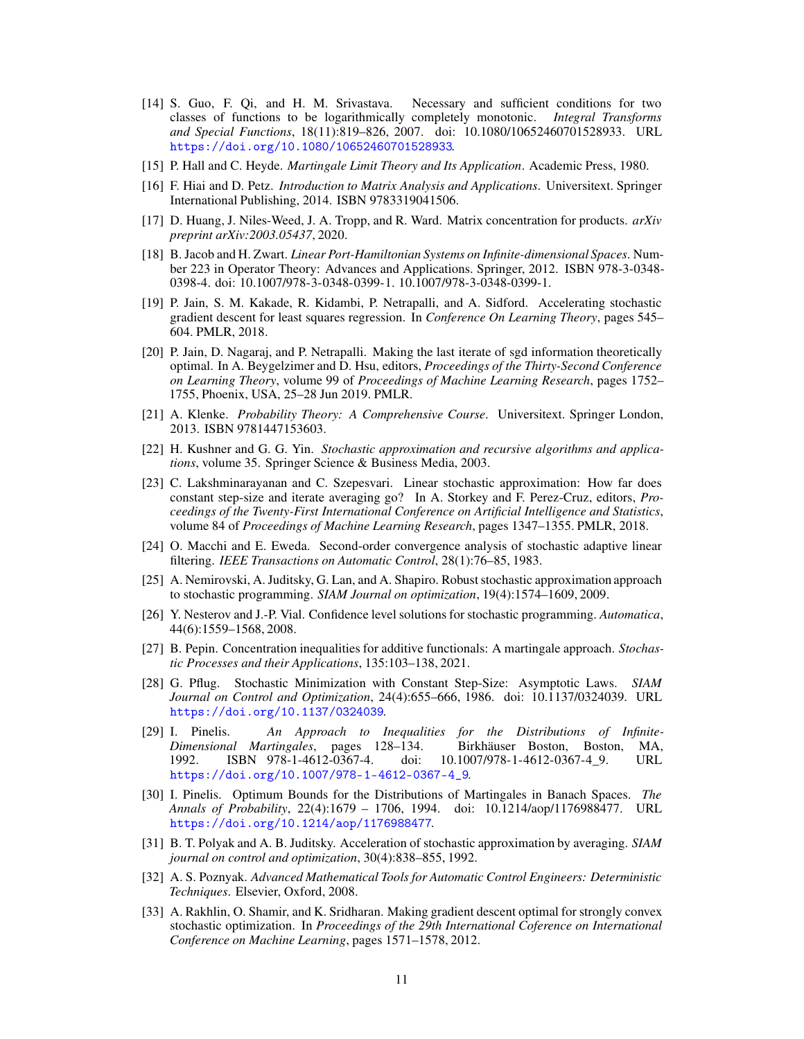- <span id="page-10-19"></span>[14] S. Guo, F. Qi, and H. M. Srivastava. Necessary and sufficient conditions for two classes of functions to be logarithmically completely monotonic. *Integral Transforms and Special Functions*, 18(11):819–826, 2007. doi: 10.1080/10652460701528933. URL <https://doi.org/10.1080/10652460701528933>.
- <span id="page-10-17"></span>[15] P. Hall and C. Heyde. *Martingale Limit Theory and Its Application*. Academic Press, 1980.
- <span id="page-10-13"></span>[16] F. Hiai and D. Petz. *Introduction to Matrix Analysis and Applications*. Universitext. Springer International Publishing, 2014. ISBN 9783319041506.
- <span id="page-10-10"></span>[17] D. Huang, J. Niles-Weed, J. A. Tropp, and R. Ward. Matrix concentration for products. *arXiv preprint arXiv:2003.05437*, 2020.
- <span id="page-10-12"></span>[18] B. Jacob and H. Zwart. *Linear Port-Hamiltonian Systems on Infinite-dimensional Spaces*. Number 223 in Operator Theory: Advances and Applications. Springer, 2012. ISBN 978-3-0348- 0398-4. doi: 10.1007/978-3-0348-0399-1. 10.1007/978-3-0348-0399-1.
- <span id="page-10-4"></span>[19] P. Jain, S. M. Kakade, R. Kidambi, P. Netrapalli, and A. Sidford. Accelerating stochastic gradient descent for least squares regression. In *Conference On Learning Theory*, pages 545– 604. PMLR, 2018.
- <span id="page-10-5"></span>[20] P. Jain, D. Nagaraj, and P. Netrapalli. Making the last iterate of sgd information theoretically optimal. In A. Beygelzimer and D. Hsu, editors, *Proceedings of the Thirty-Second Conference on Learning Theory*, volume 99 of *Proceedings of Machine Learning Research*, pages 1752– 1755, Phoenix, USA, 25–28 Jun 2019. PMLR.
- <span id="page-10-15"></span>[21] A. Klenke. *Probability Theory: A Comprehensive Course*. Universitext. Springer London, 2013. ISBN 9781447153603.
- <span id="page-10-0"></span>[22] H. Kushner and G. G. Yin. *Stochastic approximation and recursive algorithms and applications*, volume 35. Springer Science & Business Media, 2003.
- <span id="page-10-6"></span>[23] C. Lakshminarayanan and C. Szepesvari. Linear stochastic approximation: How far does constant step-size and iterate averaging go? In A. Storkey and F. Perez-Cruz, editors, *Proceedings of the Twenty-First International Conference on Artificial Intelligence and Statistics*, volume 84 of *Proceedings of Machine Learning Research*, pages 1347–1355. PMLR, 2018.
- <span id="page-10-11"></span>[24] O. Macchi and E. Eweda. Second-order convergence analysis of stochastic adaptive linear filtering. *IEEE Transactions on Automatic Control*, 28(1):76–85, 1983.
- <span id="page-10-3"></span>[25] A. Nemirovski, A. Juditsky, G. Lan, and A. Shapiro. Robust stochastic approximation approach to stochastic programming. *SIAM Journal on optimization*, 19(4):1574–1609, 2009.
- <span id="page-10-7"></span>[26] Y. Nesterov and J.-P. Vial. Confidence level solutions for stochastic programming. *Automatica*, 44(6):1559–1568, 2008.
- <span id="page-10-8"></span>[27] B. Pepin. Concentration inequalities for additive functionals: A martingale approach. *Stochastic Processes and their Applications*, 135:103–138, 2021.
- <span id="page-10-9"></span>[28] G. Pflug. Stochastic Minimization with Constant Step-Size: Asymptotic Laws. *SIAM Journal on Control and Optimization*, 24(4):655–666, 1986. doi: 10.1137/0324039. URL <https://doi.org/10.1137/0324039>.
- <span id="page-10-18"></span>[29] I. Pinelis. *An Approach to Inequalities for the Distributions of Infinite-Dimensional Martingales*, pages 128–134. Birkhäuser Boston, Boston, MA, 1992. ISBN 978-1-4612-0367-4. doi: 10.1007/978-1-4612-0367-4\_9. URL [https://doi.org/10.1007/978-1-4612-0367-4\\_9](https://doi.org/10.1007/978-1-4612-0367-4_9).
- <span id="page-10-16"></span>[30] I. Pinelis. Optimum Bounds for the Distributions of Martingales in Banach Spaces. *The Annals of Probability*, 22(4):1679 – 1706, 1994. doi: 10.1214/aop/1176988477. URL <https://doi.org/10.1214/aop/1176988477>.
- <span id="page-10-1"></span>[31] B. T. Polyak and A. B. Juditsky. Acceleration of stochastic approximation by averaging. *SIAM journal on control and optimization*, 30(4):838–855, 1992.
- <span id="page-10-14"></span>[32] A. S. Poznyak. *Advanced Mathematical Tools for Automatic Control Engineers: Deterministic Techniques*. Elsevier, Oxford, 2008.
- <span id="page-10-2"></span>[33] A. Rakhlin, O. Shamir, and K. Sridharan. Making gradient descent optimal for strongly convex stochastic optimization. In *Proceedings of the 29th International Coference on International Conference on Machine Learning*, pages 1571–1578, 2012.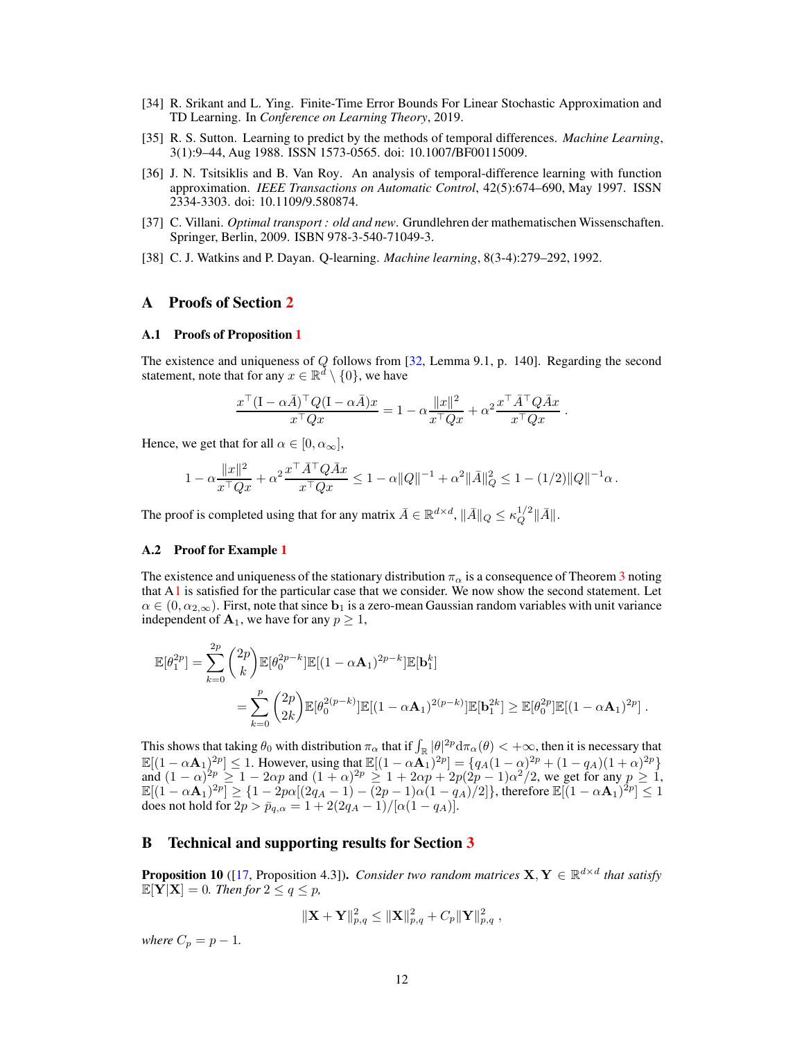- <span id="page-11-2"></span>[34] R. Srikant and L. Ying. Finite-Time Error Bounds For Linear Stochastic Approximation and TD Learning. In *Conference on Learning Theory*, 2019.
- <span id="page-11-1"></span>[35] R. S. Sutton. Learning to predict by the methods of temporal differences. *Machine Learning*, 3(1):9–44, Aug 1988. ISSN 1573-0565. doi: 10.1007/BF00115009.
- <span id="page-11-5"></span>[36] J. N. Tsitsiklis and B. Van Roy. An analysis of temporal-difference learning with function approximation. *IEEE Transactions on Automatic Control*, 42(5):674–690, May 1997. ISSN 2334-3303. doi: 10.1109/9.580874.
- <span id="page-11-9"></span>[37] C. Villani. *Optimal transport : old and new*. Grundlehren der mathematischen Wissenschaften. Springer, Berlin, 2009. ISBN 978-3-540-71049-3.
- <span id="page-11-0"></span>[38] C. J. Watkins and P. Dayan. Q-learning. *Machine learning*, 8(3-4):279–292, 1992.

## <span id="page-11-3"></span>A Proofs of Section [2](#page-2-0)

#### A.1 Proofs of Proposition [1](#page-2-7)

The existence and uniqueness of Q follows from [\[32,](#page-10-14) Lemma 9.1, p. 140]. Regarding the second statement, note that for any  $x \in \mathbb{R}^d \setminus \{0\}$ , we have

$$
\frac{x^{\top}(I - \alpha \bar{A})^{\top} Q (I - \alpha \bar{A}) x}{x^{\top} Q x} = 1 - \alpha \frac{\|x\|^2}{x^{\top} Q x} + \alpha^2 \frac{x^{\top} \bar{A}^{\top} Q \bar{A} x}{x^{\top} Q x}.
$$

Hence, we get that for all  $\alpha \in [0, \alpha_{\infty}]$ ,

$$
1 - \alpha \frac{\|x\|^2}{x^\top Q x} + \alpha^2 \frac{x^\top \bar{A}^\top Q \bar{A} x}{x^\top Q x} \leq 1 - \alpha \|Q\|^{-1} + \alpha^2 \|\bar{A}\|_Q^2 \leq 1 - (1/2) \|Q\|^{-1} \alpha \,.
$$

The proof is completed using that for any matrix  $\bar{A} \in \mathbb{R}^{d \times d}$ ,  $\|\bar{A}\|_Q \le \kappa_Q^{1/2} \|\bar{A}\|$ .

## <span id="page-11-4"></span>A.2 Proof for Example [1](#page-2-9)

The existence and uniqueness of the stationary distribution  $\pi_{\alpha}$  is a consequence of Theorem [3](#page-7-5) noting that  $A1$  is satisfied for the particular case that we consider. We now show the second statement. Let  $\alpha \in (0, \alpha_{2,\infty})$ . First, note that since  $\mathbf{b}_1$  is a zero-mean Gaussian random variables with unit variance independent of  $A_1$ , we have for any  $p \geq 1$ ,

$$
\mathbb{E}[\theta_1^{2p}] = \sum_{k=0}^{2p} \binom{2p}{k} \mathbb{E}[\theta_0^{2p-k}] \mathbb{E}[(1-\alpha \mathbf{A}_1)^{2p-k}] \mathbb{E}[\mathbf{b}_1^k]
$$
  
= 
$$
\sum_{k=0}^p \binom{2p}{2k} \mathbb{E}[\theta_0^{2(p-k)}] \mathbb{E}[(1-\alpha \mathbf{A}_1)^{2(p-k)}] \mathbb{E}[\mathbf{b}_1^{2k}] \ge \mathbb{E}[\theta_0^{2p}] \mathbb{E}[(1-\alpha \mathbf{A}_1)^{2p}].
$$

This shows that taking  $\theta_0$  with distribution  $\pi_\alpha$  that if  $\int_{\mathbb{R}} |\theta|^2 p \, d\pi_\alpha(\theta) < +\infty$ , then it is necessary that  $\mathbb{E}[(1-\alpha A_1)^{2p}] \leq 1$ . However, using that  $\mathbb{E}[(1-\alpha A_1)^{2p}] = \{q_A(1-\alpha)^{2p} + (1-q_A)(1+\alpha)^{2p}\}$ and  $(1 - \alpha)^{2p} \ge 1 - 2\alpha p$  and  $(1 + \alpha)^{2p} \ge 1 + 2\alpha p + 2p(2p - 1)\alpha^2/2$ , we get for any  $p \ge 1$ ,  $\mathbb{E}[(1-\alpha \mathbf{A}_1)^{2p}] \geq \{1-2p\alpha[(2q_A-1)-\overline{(2p-1)}\alpha(1-q_A)/2]\},\text{ therefore } \mathbb{E}[(1-\alpha \mathbf{A}_1)^{2p}] \leq 1$ does not hold for  $2p > \bar{p}_{q,\alpha} = 1 + 2(2q_A - 1)/[\alpha(1 - q_A)].$ 

## <span id="page-11-7"></span>B Technical and supporting results for Section [3](#page-3-0)

<span id="page-11-6"></span>**Proposition 10** ([\[17,](#page-10-10) Proposition 4.3]). *Consider two random matrices*  $X, Y \in \mathbb{R}^{d \times d}$  *that satisfy*  $\mathbb{E}[\mathbf{Y}|\mathbf{X}] = 0$ . Then for  $2 \le q \le p$ ,

$$
\|\mathbf{X} + \mathbf{Y}\|_{p,q}^2 \leq \|\mathbf{X}\|_{p,q}^2 + C_p \|\mathbf{Y}\|_{p,q}^2,
$$

<span id="page-11-8"></span>*where*  $C_p = p - 1$ *.*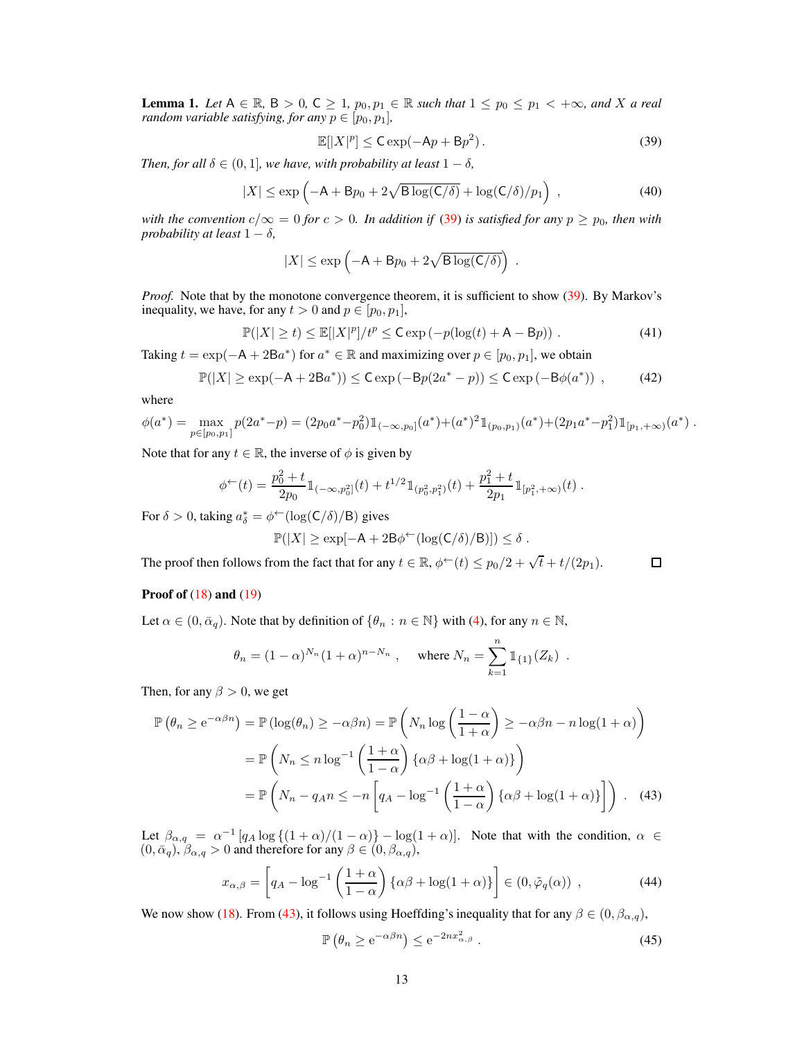**Lemma 1.** Let  $A \in \mathbb{R}$ ,  $B > 0$ ,  $C \geq 1$ ,  $p_0, p_1 \in \mathbb{R}$  such that  $1 \leq p_0 \leq p_1 < +\infty$ , and X a real *random variable satisfying, for any*  $p \in [p_0, p_1]$ *,* 

<span id="page-12-0"></span>
$$
\mathbb{E}[|X|^p] \leq \mathsf{C} \exp(-\mathsf{A}p + \mathsf{B}p^2). \tag{39}
$$

*Then, for all*  $\delta \in (0, 1]$ *, we have, with probability at least*  $1 - \delta$ *,* 

$$
|X| \le \exp\left(-A + Bp_0 + 2\sqrt{B\log(C/\delta)} + \log(C/\delta)/p_1\right) ,\qquad (40)
$$

*with the convention*  $c/\infty = 0$  *for*  $c > 0$ *. In addition if* [\(39\)](#page-12-0) *is satisfied for any*  $p \geq p_0$ *, then with probability at least*  $1 - \delta$ *,* 

$$
|X| \le \exp\left(-A + Bp_0 + 2\sqrt{B\log(C/\delta)}\right) .
$$

*Proof.* Note that by the monotone convergence theorem, it is sufficient to show [\(39\)](#page-12-0). By Markov's inequality, we have, for any  $t > 0$  and  $p \in [p_0, p_1]$ ,

$$
\mathbb{P}(|X| \ge t) \le \mathbb{E}[|X|^p]/t^p \le C \exp(-p(\log(t) + A - Bp)). \tag{41}
$$

Taking  $t = \exp(-A + 2Ba^*)$  for  $a^* \in \mathbb{R}$  and maximizing over  $p \in [p_0, p_1]$ , we obtain

$$
\mathbb{P}(|X| \ge \exp(-A + 2Ba^*)) \le C \exp(-Bp(2a^* - p)) \le C \exp(-B\phi(a^*)) , \tag{42}
$$

where

$$
\phi(a^*) = \max_{p \in [p_0, p_1]} p(2a^* - p) = (2p_0a^* - p_0^2) \mathbb{1}_{(-\infty, p_0]}(a^*) + (a^*)^2 \mathbb{1}_{(p_0, p_1)}(a^*) + (2p_1a^* - p_1^2) \mathbb{1}_{[p_1, +\infty)}(a^*)
$$

Note that for any  $t \in \mathbb{R}$ , the inverse of  $\phi$  is given by

$$
\phi^{\leftarrow}(t) = \frac{p_0^2 + t}{2p_0} \mathbb{1}_{(-\infty, p_0^2]}(t) + t^{1/2} \mathbb{1}_{(p_0^2, p_1^2)}(t) + \frac{p_1^2 + t}{2p_1} \mathbb{1}_{[p_1^2, +\infty)}(t) .
$$

For  $\delta > 0$ , taking  $a_{\delta}^* = \phi^{\leftarrow}(\log(\mathsf{C}/\delta)/\mathsf{B})$  gives

$$
\mathbb{P}(|X| \geq \exp[-\mathsf{A} + 2\mathsf{B}\phi^{\leftarrow}(\log(\mathsf{C}/\delta)/\mathsf{B})]) \leq \delta.
$$

The proof then follows from the fact that for any  $t \in \mathbb{R}$ ,  $\phi^{\leftarrow}(t) \leq p_0/2 + \sqrt{t} + t/(2p_1)$ .

<span id="page-12-1"></span>
$$
\Box
$$

## Proof of  $(18)$  and  $(19)$

Let  $\alpha \in (0, \bar{\alpha}_q)$ . Note that by definition of  $\{\theta_n : n \in \mathbb{N}\}\$  with [\(4\)](#page-2-5), for any  $n \in \mathbb{N}$ ,

$$
\theta_n = (1 - \alpha)^{N_n} (1 + \alpha)^{n - N_n}
$$
, where  $N_n = \sum_{k=1}^n \mathbb{1}_{\{1\}}(Z_k)$ .

Then, for any  $\beta > 0$ , we get

$$
\mathbb{P}\left(\theta_{n} \geq e^{-\alpha\beta n}\right) = \mathbb{P}\left(\log(\theta_{n}) \geq -\alpha\beta n\right) = \mathbb{P}\left(N_{n}\log\left(\frac{1-\alpha}{1+\alpha}\right) \geq -\alpha\beta n - n\log(1+\alpha)\right)
$$

$$
= \mathbb{P}\left(N_{n} \leq n\log^{-1}\left(\frac{1+\alpha}{1-\alpha}\right)\left\{\alpha\beta + \log(1+\alpha)\right\}\right)
$$

$$
= \mathbb{P}\left(N_{n} - q_{A}n \leq -n\left[q_{A} - \log^{-1}\left(\frac{1+\alpha}{1-\alpha}\right)\left\{\alpha\beta + \log(1+\alpha)\right\}\right]\right). \quad (43)
$$

Let  $\beta_{\alpha,q} = \alpha^{-1} \left[ q_A \log \left\{ (1+\alpha)/(1-\alpha) \right\} - \log(1+\alpha) \right]$ . Note that with the condition,  $\alpha \in \mathbb{R}$  $(0, \bar{\alpha}_q), \beta_{\alpha,q} > 0$  and therefore for any  $\beta \in (0, \beta_{\alpha,q}),$ 

$$
x_{\alpha,\beta} = \left[ q_A - \log^{-1} \left( \frac{1+\alpha}{1-\alpha} \right) \{ \alpha\beta + \log(1+\alpha) \} \right] \in (0, \tilde{\varphi}_q(\alpha)) \tag{44}
$$

We now show [\(18\)](#page-5-1). From [\(43\)](#page-12-1), it follows using Hoeffding's inequality that for any  $\beta \in (0, \beta_{\alpha,q})$ ,

<span id="page-12-3"></span><span id="page-12-2"></span>
$$
\mathbb{P}\left(\theta_n \ge e^{-\alpha\beta n}\right) \le e^{-2nx_{\alpha,\beta}^2} \tag{45}
$$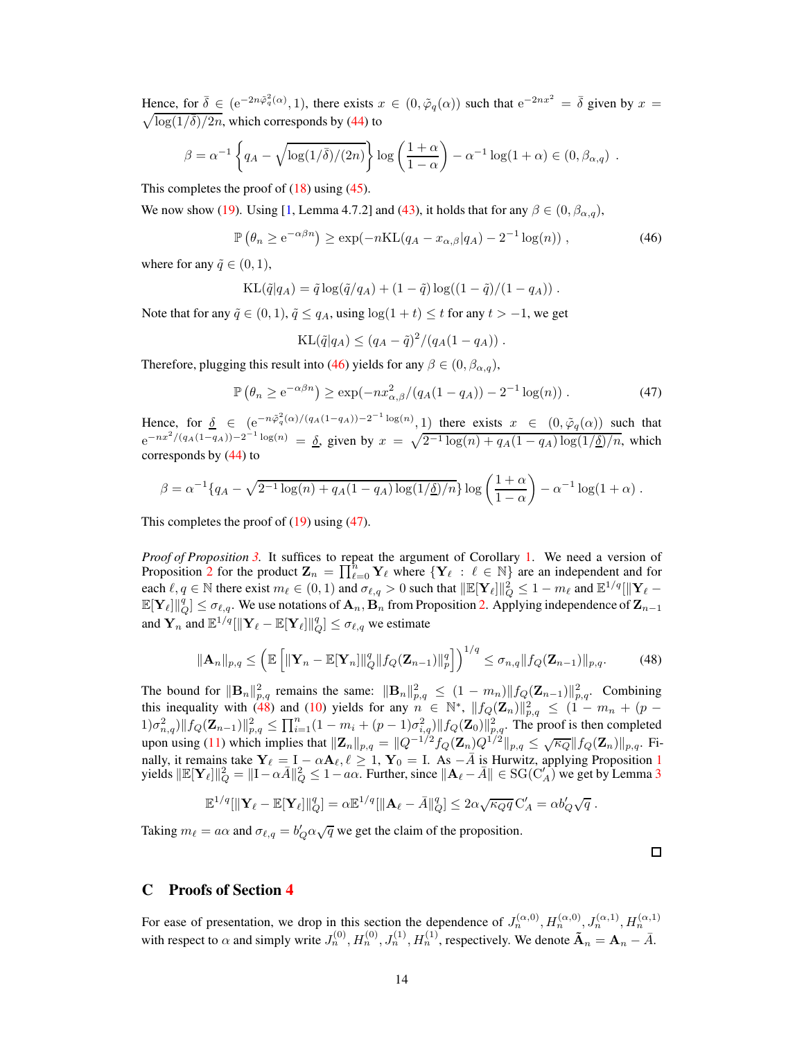Hence, for  $\bar{\delta} \in (e^{-2n\tilde{\varphi}_q^2(\alpha)}, 1)$ , there exists  $x \in (0, \tilde{\varphi}_q(\alpha))$  such that  $e^{-2nx^2} = \bar{\delta}$  given by  $x =$  $\sqrt{\log(1/\overline{\delta})/2n}$ , which corresponds by [\(44\)](#page-12-2) to

$$
\beta = \alpha^{-1} \left\{ q_A - \sqrt{\log(1/\bar{\delta})/(2n)} \right\} \log \left( \frac{1+\alpha}{1-\alpha} \right) - \alpha^{-1} \log(1+\alpha) \in (0, \beta_{\alpha,q}) .
$$

This completes the proof of  $(18)$  using  $(45)$ .

We now show [\(19\)](#page-5-2). Using [\[1,](#page-9-11) Lemma 4.7.2] and [\(43\)](#page-12-1), it holds that for any  $\beta \in (0, \beta_{\alpha,q})$ ,

$$
\mathbb{P}\left(\theta_n \ge e^{-\alpha\beta n}\right) \ge \exp(-n\mathrm{KL}(q_A - x_{\alpha,\beta}|q_A) - 2^{-1}\log(n)),\tag{46}
$$

where for any  $\tilde{q} \in (0, 1)$ ,

$$
KL(\tilde{q}|q_A) = \tilde{q} \log(\tilde{q}/q_A) + (1 - \tilde{q}) \log((1 - \tilde{q})/(1 - q_A)) .
$$

Note that for any  $\tilde{q} \in (0, 1)$ ,  $\tilde{q} \le q_A$ , using  $\log(1 + t) \le t$  for any  $t > -1$ , we get

<span id="page-13-1"></span><span id="page-13-0"></span>
$$
KL(\tilde{q}|q_A) \le (q_A - \tilde{q})^2/(q_A(1 - q_A))
$$
.

Therefore, plugging this result into [\(46\)](#page-13-0) yields for any  $\beta \in (0, \beta_{\alpha,q})$ ,

$$
\mathbb{P}\left(\theta_n \ge e^{-\alpha\beta n}\right) \ge \exp(-nx_{\alpha,\beta}^2/(q_A(1-q_A)) - 2^{-1}\log(n)).\tag{47}
$$

Hence, for  $\delta \in (e^{-n\tilde{\varphi}_q^2(\alpha)/(q_A(1-q_A))-2^{-1}\log(n)}, 1)$  there exists  $x \in (0, \tilde{\varphi}_q(\alpha))$  such that  $e^{-nx^2/(q_A(1-q_A))-2^{-1}\log(n)} = \underline{\delta}$ , given by  $x = \sqrt{2^{-1}\log(n) + q_A(1-q_A)\log(1/\underline{\delta})/n}$ , which corresponds by [\(44\)](#page-12-2) to

$$
\beta = \alpha^{-1} \{ q_A - \sqrt{2^{-1} \log(n) + q_A (1 - q_A) \log(1/\underline{\delta})/n} \} \log \left( \frac{1 + \alpha}{1 - \alpha} \right) - \alpha^{-1} \log(1 + \alpha) .
$$

This completes the proof of  $(19)$  using  $(47)$ .

*Proof of Proposition [3.](#page-5-5)* It suffices to repeat the argument of Corollary [1.](#page-4-4) We need a version of Proposition [2](#page-3-2) for the product  $\mathbf{Z}_n = \prod_{\ell=0}^n \mathbf{Y}_\ell$  where  $\{\mathbf{Y}_\ell : \ell \in \mathbb{N}\}$  are an independent and for each  $\ell, q \in \mathbb{N}$  there exist  $m_{\ell} \in (0, 1)$  and  $\sigma_{\ell, q} > 0$  such that  $\|\mathbb{E}[\mathbf{Y}_{\ell}]\|_{Q}^{2} \leq 1 - m_{\ell}$  and  $\mathbb{E}^{1/q}[\|\mathbf{Y}_{\ell} - \mathbf{Y}_{\ell}|\|_{Q}]$  $\mathbb{E}[\mathbf{Y}_{\ell}]||_{Q}^{q} \leq \sigma_{\ell,q}$ . We use notations of  $\mathbf{A}_n$ ,  $\mathbf{B}_n$  from Proposition [2.](#page-3-2) Applying independence of  $\mathbf{Z}_{n-1}$ and  $\mathbf{Y}_n$  and  $\mathbb{E}^{1/q}[\|\mathbf{Y}_{\ell} - \mathbb{E}[\mathbf{Y}_{\ell}] \|_Q^q] \le \sigma_{\ell,q}$  we estimate

$$
\|\mathbf{A}_{n}\|_{p,q} \leq \left(\mathbb{E}\left[\|\mathbf{Y}_{n}-\mathbb{E}[\mathbf{Y}_{n}]\|_{Q}^{q}\|f_{Q}(\mathbf{Z}_{n-1})\|_{p}^{q}\right]\right)^{1/q} \leq \sigma_{n,q} \|f_{Q}(\mathbf{Z}_{n-1})\|_{p,q}.
$$
 (48)

The bound for  $\|\mathbf{B}_n\|_{p,q}^2$  remains the same:  $\|\mathbf{B}_n\|_{p,q}^2 \leq (1-m_n) \|f_Q(\mathbf{Z}_{n-1})\|_{p,q}^2$ . Combining this inequality with [\(48\)](#page-13-2) and [\(10\)](#page-4-2) yields for any  $n \in \mathbb{N}^*$ ,  $||f_Q(\mathbf{Z}_n)||_{p,q}^2 \leq (1 - m_n + (p \|f_{Q}(\mathbf{Z}_{n-1})\|_{p,q}^2 \leq \prod_{i=1}^n (1-m_i+(p-1)\sigma_{i,q}^2) \|f_{Q}(\mathbf{Z}_0)\|_{p,q}^2$ . The proof is then completed upon using [\(11\)](#page-4-3) which implies that  $||\mathbf{Z}_n||_{p,q} = ||Q^{-1/2}f_Q(\mathbf{Z}_n)Q^{1/2}||_{p,q} \leq \sqrt{\kappa_Q}||f_Q(\mathbf{Z}_n)||_{p,q}$ . Finally, it remains take  $\mathbf{Y}_{\ell} = \mathbf{I} - \alpha \mathbf{A}_{\ell}, \ell \geq 1$  $\mathbf{Y}_{\ell} = \mathbf{I} - \alpha \mathbf{A}_{\ell}, \ell \geq 1$ ,  $\mathbf{Y}_0 = \mathbf{I}$ . As  $-\overline{A}$  is Hurwitz, applying Proposition 1 yields  $\|\mathbb{E}[\mathbf{Y}_{\ell}]\|_{Q}^{2} = \|\mathbf{I} - \alpha \bar{A}\|_{Q}^{2} \leq 1 - a\alpha$ . Further, since  $\|\mathbf{A}_{\ell} - \bar{A}\| \in \text{SG}(C_A')$  we get by Lemma [3](#page-17-0)

$$
\mathbb{E}^{1/q}[\|\mathbf{Y}_{\ell}-\mathbb{E}[\mathbf{Y}_{\ell}]\|_{Q}^q] = \alpha \mathbb{E}^{1/q}[\|\mathbf{A}_{\ell}-\bar{A}\|_{Q}^q] \leq 2\alpha \sqrt{\kappa_{Q}q} C'_{A} = \alpha b'_{Q}\sqrt{q}.
$$

Taking  $m_{\ell} = a\alpha$  and  $\sigma_{\ell,q} = b'_{Q}\alpha\sqrt{q}$  we get the claim of the proposition.

<span id="page-13-2"></span> $\Box$ 

# C Proofs of Section [4](#page-5-0)

For ease of presentation, we drop in this section the dependence of  $J_n^{(\alpha,0)}, H_n^{(\alpha,0)}, J_n^{(\alpha,1)}, H_n^{(\alpha,1)}$ with respect to  $\alpha$  and simply write  $J_n^{(0)}$ ,  $H_n^{(0)}$ ,  $J_n^{(1)}$ ,  $H_n^{(1)}$ , respectively. We denote  $\tilde{A}_n = A_n - \bar{A}$ .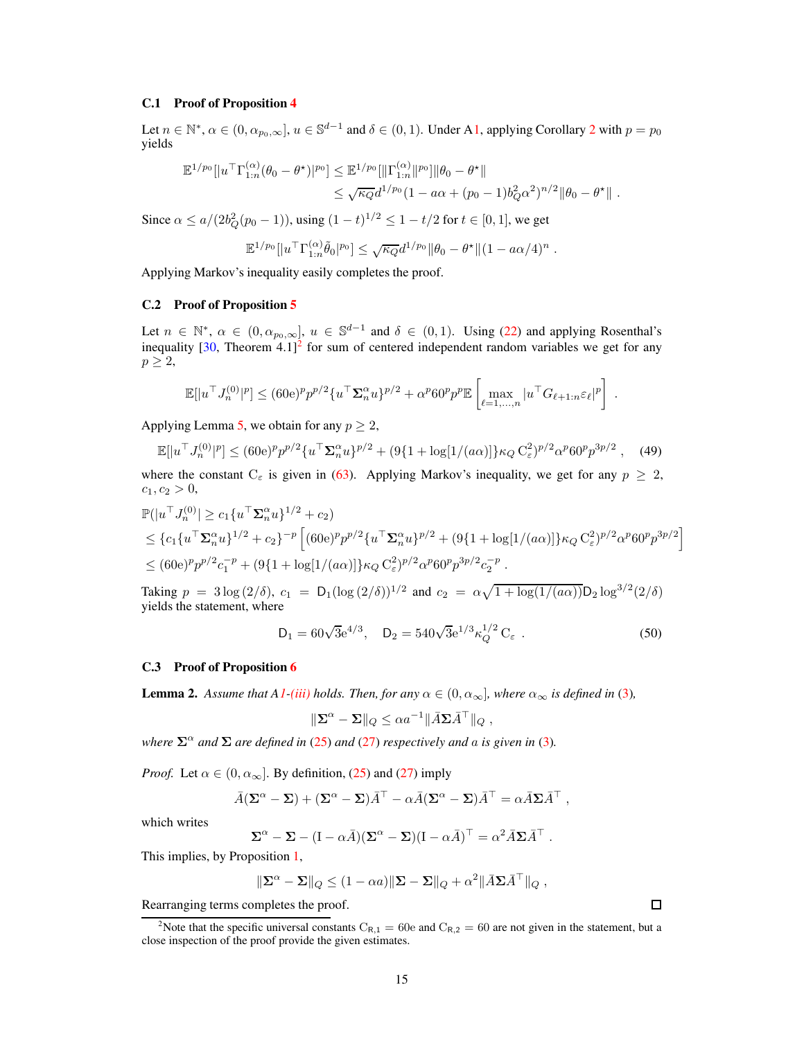#### <span id="page-14-0"></span>C.1 Proof of Proposition [4](#page-5-3)

Let  $n \in \mathbb{N}^*$ ,  $\alpha \in (0, \alpha_{p_0,\infty}]$ ,  $u \in \mathbb{S}^{d-1}$  and  $\delta \in (0,1)$ . Under [A1,](#page-2-1) applying Corollary [2](#page-4-5) with  $p = p_0$ yields

$$
\mathbb{E}^{1/p_0}[|u^\top \Gamma_{1:n}^{(\alpha)}(\theta_0 - \theta^\star)|^{p_0}] \leq \mathbb{E}^{1/p_0}[||\Gamma_{1:n}^{(\alpha)}||^{p_0}]||\theta_0 - \theta^\star||
$$
  

$$
\leq \sqrt{\kappa_Q}d^{1/p_0}(1 - a\alpha + (p_0 - 1)b_Q^2\alpha^2)^{n/2}||\theta_0 - \theta^\star||.
$$

Since  $\alpha \le a/(2b_Q^2(p_0-1))$ , using  $(1-t)^{1/2} \le 1-t/2$  for  $t \in [0,1]$ , we get

$$
\mathbb{E}^{1/p_0}[|u^\top \Gamma^{(\alpha)}_{1:n}\tilde{\theta}_0|^{p_0}] \leq \sqrt{\kappa_Q}d^{1/p_0} \|\theta_0 - \theta^\star\|(1 - a\alpha/4)^n.
$$

<span id="page-14-2"></span>Applying Markov's inequality easily completes the proof.

## C.2 Proof of Proposition [5](#page-6-0)

Let  $n \in \mathbb{N}^*$ ,  $\alpha \in (0, \alpha_{p_0, \infty}]$ ,  $u \in \mathbb{S}^{d-1}$  and  $\delta \in (0, 1)$ . Using [\(22\)](#page-6-3) and applying Rosenthal's inequality  $[30,$  Theorem  $4.1$ <sup>[2](#page-14-4)</sup> for sum of centered independent random variables we get for any  $p \geq 2$ ,

$$
\mathbb{E}[|u^\top J_n^{(0)}|^p] \le (60e)^p p^{p/2} \{ u^\top \Sigma_n^{\alpha} u \}^{p/2} + \alpha^p 60^p p^p \mathbb{E}\left[\max_{\ell=1,\dots,n} |u^\top G_{\ell+1:n} \varepsilon_\ell|^p\right]
$$

Applying Lemma [5,](#page-17-1) we obtain for any  $p \geq 2$ ,

$$
\mathbb{E}[|u^\top J_n^{(0)}|^p] \le (60e)^p p^{p/2} \{ u^\top \Sigma_n^{\alpha} u \}^{p/2} + (9\{1 + \log[1/(a\alpha)]\} \kappa_Q C_{\varepsilon}^2)^{p/2} \alpha^p 60^p p^{3p/2}, \quad (49)
$$

where the constant  $C_{\epsilon}$  is given in [\(63\)](#page-17-2). Applying Markov's inequality, we get for any  $p \geq 2$ ,  $c_1, c_2 > 0,$ 

$$
\mathbb{P}(|u^{\top}J_n^{(0)}| \ge c_1 \{u^{\top} \Sigma_n^{\alpha} u\}^{1/2} + c_2)
$$
\n
$$
\le \{c_1 \{u^{\top} \Sigma_n^{\alpha} u\}^{1/2} + c_2\}^{-p} \left[ (60e)^p p^{p/2} \{u^{\top} \Sigma_n^{\alpha} u\}^{p/2} + (9\{1 + \log[1/(a\alpha)]\} \kappa_Q C_{\varepsilon}^2)^{p/2} \alpha^p 60^p p^{3p/2} \right]
$$
\n
$$
\le (60e)^p p^{p/2} c_1^{-p} + (9\{1 + \log[1/(a\alpha)]\} \kappa_Q C_{\varepsilon}^2)^{p/2} \alpha^p 60^p p^{3p/2} c_2^{-p} .
$$

Taking  $p = 3 \log (2/\delta)$ ,  $c_1 = D_1 (\log (2/\delta))^{1/2}$  and  $c_2 = \alpha \sqrt{1 + \log(1/(a\alpha))} D_2 \log^{3/2}(2/\delta)$ yields the statement, where

<span id="page-14-1"></span>
$$
D_1 = 60\sqrt{3}e^{4/3}, \quad D_2 = 540\sqrt{3}e^{1/3}\kappa_Q^{1/2} C_{\varepsilon} . \tag{50}
$$

## <span id="page-14-5"></span><span id="page-14-3"></span>C.3 Proof of Proposition [6](#page-6-7)

**Lemma 2.** Assume that  $AI$ [-\(iii\)](#page-2-4) holds. Then, for any  $\alpha \in (0, \alpha_{\infty})$ , where  $\alpha_{\infty}$  is defined in [\(3\)](#page-2-8),

$$
\|\Sigma^{\alpha} - \Sigma\|_{Q} \le \alpha a^{-1} \|\bar{A}\Sigma \bar{A}^{\top}\|_{Q} ,
$$

*where*  $\Sigma^{\alpha}$  *and*  $\Sigma$  *are defined in* [\(25\)](#page-6-1) *and* [\(27\)](#page-6-2) *respectively and a is given in* [\(3\)](#page-2-8)*.* 

*Proof.* Let  $\alpha \in (0, \alpha_{\infty})$ . By definition, [\(25\)](#page-6-1) and [\(27\)](#page-6-2) imply

$$
\bar{A}(\Sigma^{\alpha} - \Sigma) + (\Sigma^{\alpha} - \Sigma)\bar{A}^{\top} - \alpha \bar{A}(\Sigma^{\alpha} - \Sigma)\bar{A}^{\top} = \alpha \bar{A} \Sigma \bar{A}^{\top} ,
$$

which writes

$$
\Sigma^{\alpha} - \Sigma - (I - \alpha \bar{A})(\Sigma^{\alpha} - \Sigma)(I - \alpha \bar{A})^{\top} = \alpha^2 \bar{A} \Sigma \bar{A}^{\top}.
$$

This implies, by Proposition [1,](#page-2-7)

$$
\|\mathbf{\Sigma}^{\alpha}-\mathbf{\Sigma}\|_{Q}\leq(1-\alpha a)\|\mathbf{\Sigma}-\mathbf{\Sigma}\|_{Q}+\alpha^{2}\|\bar{A}\mathbf{\Sigma}\bar{A}^{\top}\|_{Q},
$$

Rearranging terms completes the proof.

 $\Box$ 

.

<span id="page-14-4"></span><sup>&</sup>lt;sup>2</sup>Note that the specific universal constants  $C_{R,1} = 60e$  and  $C_{R,2} = 60$  are not given in the statement, but a close inspection of the proof provide the given estimates.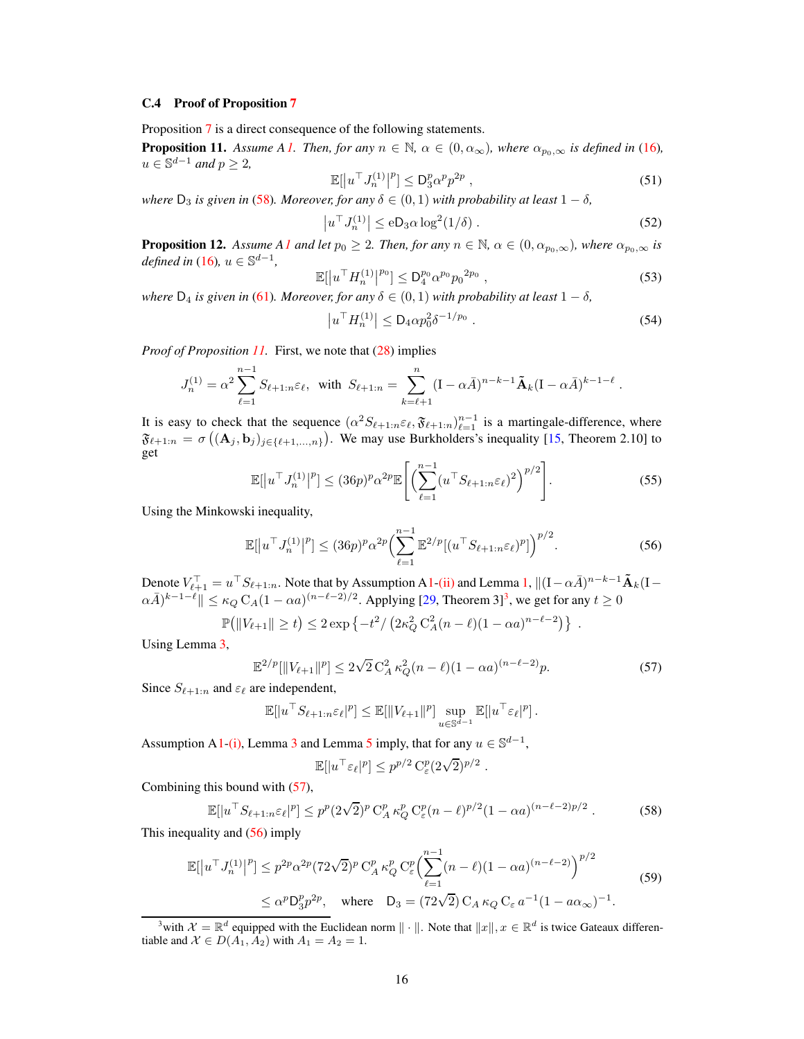## <span id="page-15-1"></span>C.4 Proof of Proposition [7](#page-6-4)

<span id="page-15-2"></span>Proposition [7](#page-6-4) is a direct consequence of the following statements.

**Proposition 1[1.](#page-2-1)** Assume A<sub>1</sub>. Then, for any  $n \in \mathbb{N}$ ,  $\alpha \in (0, \alpha_{\infty})$ , where  $\alpha_{p_0,\infty}$  is defined in [\(16\)](#page-4-6),  $u \in \mathbb{S}^{d-1}$  and  $p \geq 2$ ,

$$
\mathbb{E}[|u^\top J_n^{(1)}|^p] \le \mathcal{D}_3^p \alpha^p p^{2p} \,, \tag{51}
$$

 $\mathbb{E}[|u \cdot J_n^{(1)}|^{\nu}] \leq D_3^p \alpha^p p^{2p}$ ,<br>where  $D_3$  is given in [\(58\)](#page-15-0)*. Moreover, for any*  $\delta \in (0,1)$  *with probability at least*  $1-\delta$ ,

$$
\left|u^{\top} J_n^{(1)}\right| \le \mathrm{e} \mathsf{D}_3 \alpha \log^2(1/\delta) \,. \tag{52}
$$

<span id="page-15-3"></span>**Proposition 12.** *Assume [A1](#page-2-1) and let*  $p_0 \geq 2$ *. Then, for any*  $n \in \mathbb{N}$ ,  $\alpha \in (0, \alpha_{p_0,\infty})$ *, where*  $\alpha_{p_0,\infty}$  *is*  $defined in (16), u \in \mathbb{S}^{d-1},$  $defined in (16), u \in \mathbb{S}^{d-1},$  $defined in (16), u \in \mathbb{S}^{d-1},$ 

$$
\mathbb{E}[|u^{\top}H_n^{(1)}|^{p_0}] \leq D_4^{p_0} \alpha^{p_0} p_0^{2p_0} , \qquad (53)
$$

 $\mathbb{E}[|u \cdot H_n^{(1)}|^{P_0}] \leq D_4^{p_0} \alpha^{p_0} p_0^{2p_0}$ ,<br>where  $D_4$  is given in [\(61\)](#page-16-0)*. Moreover, for any*  $\delta \in (0,1)$  *with probability at least*  $1 - \delta$ *,* 

<span id="page-15-6"></span>
$$
\left| u^{\top} H_n^{(1)} \right| \leq D_4 \alpha p_0^2 \delta^{-1/p_0} \ . \tag{54}
$$

*Proof of Proposition [11.](#page-15-2)* First, we note that [\(28\)](#page-6-5) implies

$$
J_n^{(1)} = \alpha^2 \sum_{\ell=1}^{n-1} S_{\ell+1:n} \varepsilon_\ell, \text{ with } S_{\ell+1:n} = \sum_{k=\ell+1}^n (I - \alpha \bar{A})^{n-k-1} \tilde{\mathbf{A}}_k (I - \alpha \bar{A})^{k-1-\ell}.
$$

It is easy to check that the sequence  $(\alpha^2 S_{\ell+1:n} \varepsilon_{\ell}, \mathfrak{F}_{\ell+1:n})_{\ell=1}^{n-1}$  is a martingale-difference, where  $\mathfrak{F}_{\ell+1:n} = \sigma\left((\mathbf{A}_j, \mathbf{b}_j)_{j \in \{\ell+1,\ldots,n\}}\right)$ . We may use Burkholders's inequality [\[15,](#page-10-17) Theorem 2.10] to get

$$
\mathbb{E}[\left|u^{\top}J_n^{(1)}\right|^p] \le (36p)^p \alpha^{2p} \mathbb{E}\left[\left(\sum_{\ell=1}^{n-1} (u^{\top}S_{\ell+1:n}\varepsilon_{\ell})^2\right)^{p/2}\right].\tag{55}
$$

Using the Minkowski inequality,

$$
\mathbb{E}[|u^{\top} J_n^{(1)}|^p] \le (36p)^p \alpha^{2p} \left(\sum_{\ell=1}^{n-1} \mathbb{E}^{2/p}[(u^{\top} S_{\ell+1:n} \varepsilon_{\ell})^p]\right)^{p/2}.\tag{56}
$$

Denote  $V_{\ell+1}^{\top} = u^{\top} S_{\ell+1:n}$ . Note that by Assumption [A1](#page-2-1)[-\(ii\)](#page-2-3) and Lemma [1,](#page-2-7)  $\|(I - \alpha \overline{A})^{n-k-1} \tilde{\mathbf{A}}_k(I \alpha \bar{A}$ )<sup>k-1- $\ell$ </sup> $\|\leq \kappa_Q C_A (1-\alpha a)^{(n-\ell-2)/2}$ . Applying [\[29](#page-10-18), Theorem [3](#page-15-4)]<sup>3</sup>, we get for any  $t \geq 0$ 

$$
\mathbb{P}\big(\|V_{\ell+1}\| \ge t\big) \le 2 \exp\left\{-t^2 / \left(2\kappa_Q^2 C_A^2 (n-\ell)(1-\alpha a)^{n-\ell-2}\right)\right\}.
$$

Using Lemma [3,](#page-17-0)

<span id="page-15-5"></span>
$$
\mathbb{E}^{2/p}[\|V_{\ell+1}\|^p] \le 2\sqrt{2} C_A^2 \kappa_Q^2 (n-\ell)(1-\alpha a)^{(n-\ell-2)} p. \tag{57}
$$

Since  $S_{\ell+1:n}$  and  $\varepsilon_{\ell}$  are independent,

$$
\mathbb{E}[|u^\top S_{\ell+1:n}\varepsilon_\ell|^p] \leq \mathbb{E}[||V_{\ell+1}||^p] \sup_{u \in \mathbb{S}^{d-1}} \mathbb{E}[|u^\top \varepsilon_\ell|^p].
$$

Assumption [A1](#page-2-1)[-\(i\),](#page-2-2) Lemma [3](#page-17-0) and Lemma [5](#page-17-1) imply, that for any  $u \in \mathbb{S}^{d-1}$ ,

<span id="page-15-7"></span><span id="page-15-0"></span>
$$
\mathbb{E}[|u^\top \varepsilon_\ell|^p] \le p^{p/2} \, \mathcal{C}^p_{\varepsilon} (2\sqrt{2})^{p/2} \; .
$$

Combining this bound with [\(57\)](#page-15-5),

$$
\mathbb{E}[|u^\top S_{\ell+1:n}\varepsilon_\ell|^p] \le p^p (2\sqrt{2})^p C_A^p \kappa_Q^p C_\varepsilon^p (n-\ell)^{p/2} (1-\alpha a)^{(n-\ell-2)p/2}.
$$
 (58)

This inequality and [\(56\)](#page-15-6) imply

$$
\mathbb{E}[|u^{\top}J_n^{(1)}|^p] \le p^{2p} \alpha^{2p} (72\sqrt{2})^p C_A^p \kappa_Q^p C_{\varepsilon}^p \Biggl( \sum_{\ell=1}^{n-1} (n-\ell)(1-\alpha a)^{(n-\ell-2)} \Biggr)^{p/2}
$$
  
 
$$
\le \alpha^p D_3^p p^{2p}, \quad \text{where} \quad D_3 = (72\sqrt{2}) C_A \kappa_Q C_{\varepsilon} a^{-1} (1 - a\alpha_{\infty})^{-1}.
$$
 (59)

<span id="page-15-4"></span><sup>&</sup>lt;sup>3</sup>with  $\mathcal{X} = \mathbb{R}^d$  equipped with the Euclidean norm  $\|\cdot\|$ . Note that  $\|x\|, x \in \mathbb{R}^d$  is twice Gateaux differentiable and  $X \in D(A_1, A_2)$  with  $A_1 = A_2 = 1$ .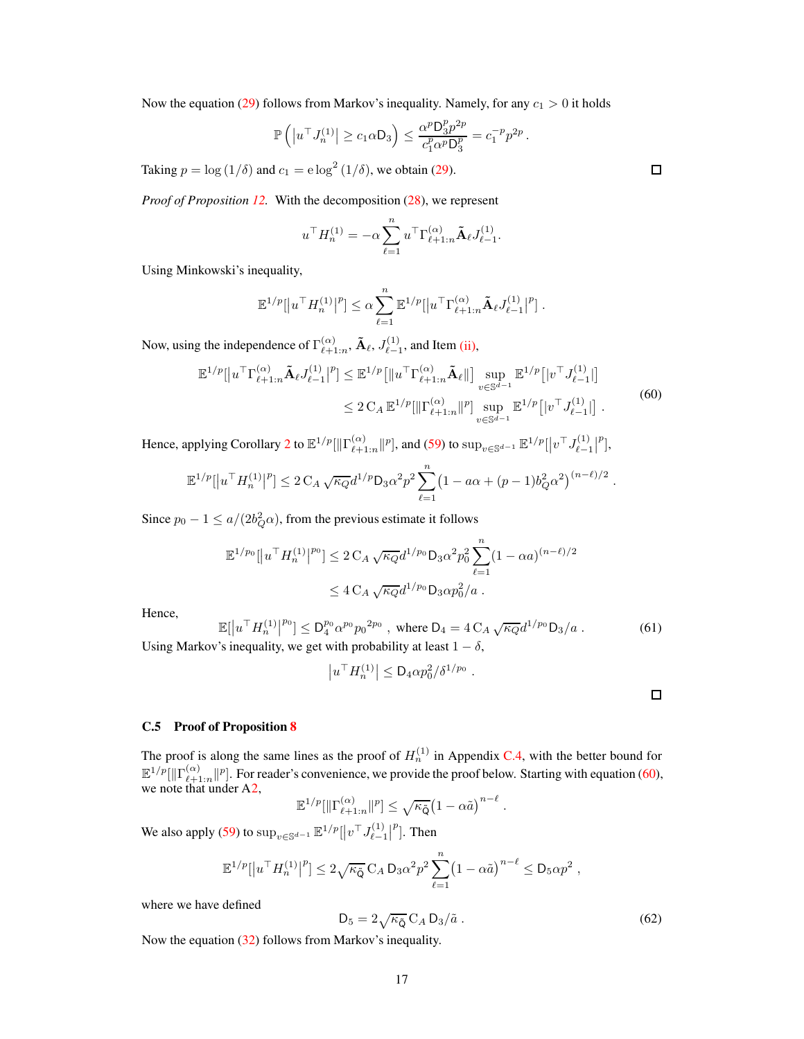Now the equation [\(29\)](#page-6-8) follows from Markov's inequality. Namely, for any  $c_1 > 0$  it holds

$$
\mathbb{P}\left( \left| u^{\top} J_n^{(1)} \right| \geq c_1 \alpha D_3 \right) \leq \frac{\alpha^p D_3^p p^{2p}}{c_1^p \alpha^p D_3^p} = c_1^{-p} p^{2p}.
$$

Taking  $p = \log(1/\delta)$  and  $c_1 = e \log^2(1/\delta)$ , we obtain [\(29\)](#page-6-8).

*Proof of Proposition [12.](#page-15-3)* With the decomposition [\(28\)](#page-6-5), we represent

<span id="page-16-2"></span>
$$
u^{\top} H_n^{(1)} = -\alpha \sum_{\ell=1}^n u^{\top} \Gamma_{\ell+1:n}^{(\alpha)} \tilde{\mathbf{A}}_{\ell} J_{\ell-1}^{(1)}.
$$

Using Minkowski's inequality,

$$
\mathbb{E}^{1/p} [ |u^\top H_n^{(1)}|^p ] \leq \alpha \sum_{\ell=1}^n \mathbb{E}^{1/p} [ |u^\top \Gamma_{\ell+1:n}^{(\alpha)} \tilde{\mathbf{A}}_\ell J_{\ell-1}^{(1)} |^p ].
$$

Now, using the independence of  $\Gamma^{(\alpha)}_{\ell+1}$  $_{\ell+1:n}^{(\alpha)},\tilde{\mathbf{A}}_{\ell}, J_{\ell-i}^{(1)}$  $\binom{1}{\ell-1}$ , and Item [\(ii\),](#page-2-3)

$$
\mathbb{E}^{1/p}[\left|u^{\top}\Gamma_{\ell+1:n}^{(\alpha)}\tilde{\mathbf{A}}_{\ell}J_{\ell-1}^{(1)}\right|^{p}] \leq \mathbb{E}^{1/p}\left[\left\|u^{\top}\Gamma_{\ell+1:n}^{(\alpha)}\tilde{\mathbf{A}}_{\ell}\right\|\right] \sup_{v \in \mathbb{S}^{d-1}} \mathbb{E}^{1/p}\left[\left|v^{\top}J_{\ell-1}^{(1)}\right|\right] \leq 2 C_{A} \mathbb{E}^{1/p}[\left\|\Gamma_{\ell+1:n}^{(\alpha)}\right\|^{p}] \sup_{v \in \mathbb{S}^{d-1}} \mathbb{E}^{1/p}\left[\left|v^{\top}J_{\ell-1}^{(1)}\right|\right].
$$
\n(60)

Hence, applying Corollary [2](#page-4-5) to  $\mathbb{E}^{1/p}[\| \Gamma^{(\alpha)}_{\ell+1}]$  $\prod_{\ell=1:n}^{(\alpha)} ||p|$ , and [\(59\)](#page-15-7) to  $\sup_{v \in \mathbb{S}^{d-1}} \mathbb{E}^{1/p} [ |v^\top J_{\ell-1}^{(1)} |]$  $\left| \begin{array}{c} (1) \\ \ell-1 \end{array} \right|$  $^{p}$ ],

$$
\mathbb{E}^{1/p} [ |u^{\top} H_n^{(1)}|^p] \leq 2 C_A \sqrt{\kappa_Q} d^{1/p} D_3 \alpha^2 p^2 \sum_{\ell=1}^n (1 - a\alpha + (p-1)b_Q^2 \alpha^2)^{(n-\ell)/2}.
$$

Since  $p_0 - 1 \le a/(2b_Q^2 \alpha)$ , from the previous estimate it follows

$$
\mathbb{E}^{1/p_0}[|u^\top H_n^{(1)}|^{p_0}] \le 2 C_A \sqrt{\kappa_Q} d^{1/p_0} D_3 \alpha^2 p_0^2 \sum_{\ell=1}^n (1 - \alpha a)^{(n-\ell)/2}
$$
  

$$
\le 4 C_A \sqrt{\kappa_Q} d^{1/p_0} D_3 \alpha p_0^2 / a.
$$

Hence,

<span id="page-16-0"></span>
$$
\mathbb{E}[|u^{\top}H_n^{(1)}|^{p_0}] \le D_4^{p_0} \alpha^{p_0} p_0^{2p_0}, \text{ where } D_4 = 4 C_A \sqrt{\kappa_Q} d^{1/p_0} D_3/a. \tag{61}
$$
\n
$$
\text{or's inequality we get with probability at least } 1 - \delta
$$

Using Markov's inequality, we get with probability at least  $1 - \delta$ ,

$$
|u^\top H_n^{(1)}| \leq \mathsf{D}_4 \alpha p_0^2 / \delta^{1/p_0} .
$$

C.5 Proof of Proposition [8](#page-7-3)

The proof is along the same lines as the proof of  $H_n^{(1)}$  in Appendix [C.4,](#page-15-1) with the better bound for  $\mathbb{E}^{1/p}[\|\Gamma_{\ell+1}^{(\alpha)}$  $\binom{\alpha}{\ell+1:n}$  For reader's convenience, we provide the proof below. Starting with equation [\(60\)](#page-16-2), we note that under [A2,](#page-2-6)

$$
\mathbb{E}^{1/p}[\|\Gamma^{(\alpha)}_{\ell+1:n}\|^p] \leq \sqrt{\kappa_{\tilde{\mathsf{Q}}}} \big(1-\alpha \tilde{a}\big)^{n-\ell}.
$$

We also apply [\(59\)](#page-15-7) to  $\sup_{v \in \mathbb{S}^{d-1}} \mathbb{E}^{1/p} [ |v^\top J_{\ell-1}^{(1)} | ]$  $\left| \begin{array}{c} (1) \\ \ell-1 \end{array} \right|$  $^{p}$ ]. Then

<span id="page-16-1"></span>
$$
\mathbb{E}^{1/p}[\left|u^{\top}H_n^{(1)}\right|^p] \leq 2\sqrt{\kappa_{\tilde{Q}}} C_A D_3 \alpha^2 p^2 \sum_{\ell=1}^n \left(1 - \alpha \tilde{a}\right)^{n-\ell} \leq D_5 \alpha p^2,
$$

where we have defined

$$
D_5 = 2\sqrt{\kappa_{\tilde{Q}}} C_A D_3 / \tilde{a} . \qquad (62)
$$

Now the equation [\(32\)](#page-7-6) follows from Markov's inequality.

 $\Box$ 

 $\Box$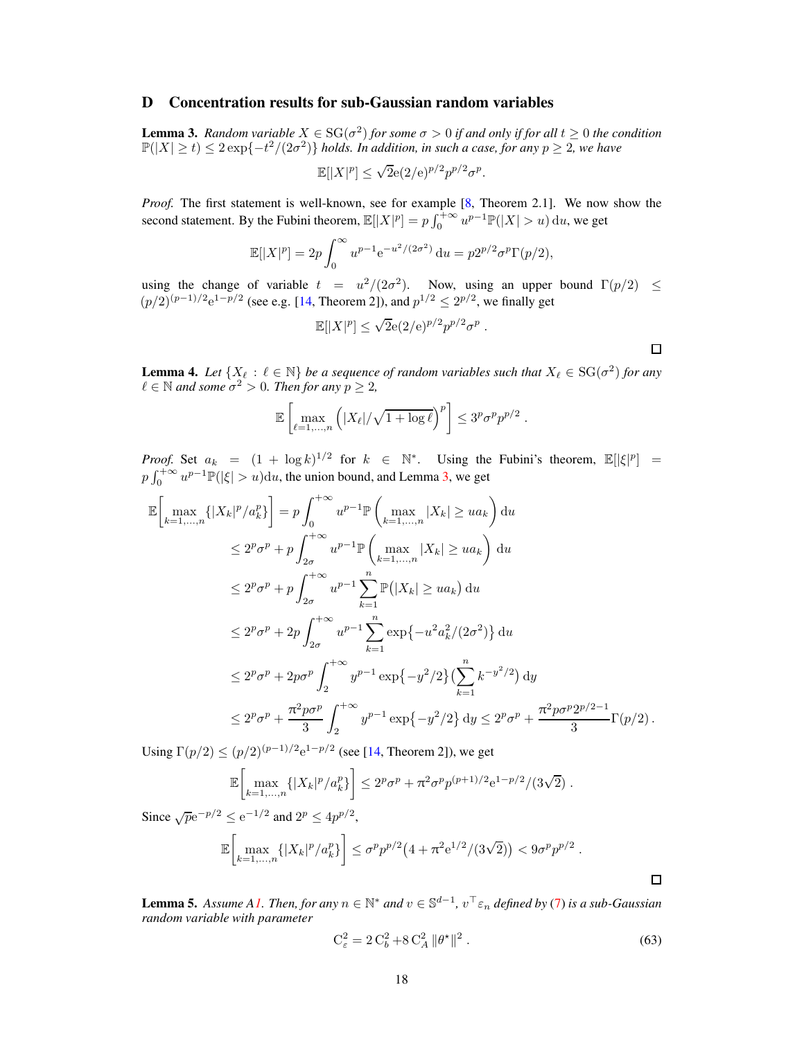## <span id="page-17-0"></span>D Concentration results for sub-Gaussian random variables

**Lemma 3.** Random variable  $X \in SG(\sigma^2)$  for some  $\sigma > 0$  if and only if for all  $t \geq 0$  the condition  $\mathbb{P}(|X| \ge t) \le 2\exp\{-t^2/(2\sigma^2)\}\;$  *holds. In addition, in such a case, for any*  $p \ge 2$ , we have

$$
\mathbb{E}[|X|^p] \le \sqrt{2}e(2/\mathrm{e})^{p/2}p^{p/2}\sigma^p.
$$

*Proof.* The first statement is well-known, see for example [\[8](#page-9-12), Theorem 2.1]. We now show the second statement. By the Fubini theorem,  $\mathbb{E}[|X|^p] = p \int_0^{+\infty} u^{p-1} \mathbb{P}(|X| > u) du$ , we get

$$
\mathbb{E}[|X|^p] = 2p \int_0^\infty u^{p-1} e^{-u^2/(2\sigma^2)} du = p2^{p/2} \sigma^p \Gamma(p/2),
$$

using the change of variable  $t = u^2/(2\sigma^2)$ . Now, using an upper bound  $\Gamma(p/2) \le$  $(p/2)^{(p-1)/2}e^{1-p/2}$  (see e.g. [\[14,](#page-10-19) Theorem 2]), and  $p^{1/2} \le 2^{p/2}$ , we finally get

$$
\mathbb{E}[|X|^p] \le \sqrt{2}e(2/\mathrm{e})^{p/2}p^{p/2}\sigma^p.
$$

<span id="page-17-3"></span>**Lemma 4.** Let  $\{X_\ell : \ell \in \mathbb{N}\}$  be a sequence of random variables such that  $X_\ell \in \text{SG}(\sigma^2)$  for any  $\ell \in \mathbb{N}$  and some  $\sigma^2 > 0$ . Then for any  $p \geq 2$ ,

$$
\mathbb{E}\left[\max_{\ell=1,\dots,n}\left(|X_{\ell}|/\sqrt{1+\log\ell}\right)^p\right] \leq 3^p\sigma^p p^{p/2}.
$$

*Proof.* Set  $a_k = (1 + \log k)^{1/2}$  for  $k \in \mathbb{N}^*$ . Using the Fubini's theorem,  $\mathbb{E}[|\xi|^p] =$  $p \int_0^{+\infty} u^{p-1} \mathbb{P}(|\xi| > u) du$ , the union bound, and Lemma [3,](#page-17-0) we get

$$
\mathbb{E}\left[\max_{k=1,\ldots,n}\{|X_k|^p/a_k^p\}\right] = p \int_0^{+\infty} u^{p-1}\mathbb{P}\left(\max_{k=1,\ldots,n}|X_k| \ge ua_k\right) du
$$
  
\n
$$
\le 2^p \sigma^p + p \int_{2\sigma}^{+\infty} u^{p-1}\mathbb{P}\left(\max_{k=1,\ldots,n}|X_k| \ge ua_k\right) du
$$
  
\n
$$
\le 2^p \sigma^p + p \int_{2\sigma}^{+\infty} u^{p-1} \sum_{k=1}^n \mathbb{P}(|X_k| \ge ua_k) du
$$
  
\n
$$
\le 2^p \sigma^p + 2p \int_{2\sigma}^{+\infty} u^{p-1} \sum_{k=1}^n \exp\{-u^2 a_k^2/(2\sigma^2)\} du
$$
  
\n
$$
\le 2^p \sigma^p + 2p \sigma^p \int_2^{+\infty} y^{p-1} \exp\{-y^2/2\} (\sum_{k=1}^n k^{-y^2/2}) dy
$$
  
\n
$$
\le 2^p \sigma^p + \frac{\pi^2 p \sigma^p}{3} \int_2^{+\infty} y^{p-1} \exp\{-y^2/2\} dy \le 2^p \sigma^p + \frac{\pi^2 p \sigma^p 2^{p/2-1}}{3} \Gamma(p/2).
$$

Using  $\Gamma(p/2) \le (p/2)^{(p-1)/2} e^{1-p/2}$  (see [\[14,](#page-10-19) Theorem 2]), we get

$$
\mathbb{E}\left[\max_{k=1,\dots,n}\{|X_k|^p/a_k^p\}\right] \le 2^p\sigma^p + \pi^2\sigma^p p^{(p+1)/2}e^{1-p/2}/(3\sqrt{2}).
$$

Since  $\sqrt{p}e^{-p/2} \le e^{-1/2}$  and  $2^p \le 4p^{p/2}$ ,

$$
\mathbb{E}\bigg[\max_{k=1,\ldots,n}\{|X_k|^p/a_k^p\}\bigg] \le \sigma^p p^{p/2}\big(4+\pi^2 e^{1/2}/(3\sqrt{2})\big) < 9\sigma^p p^{p/2}.
$$

<span id="page-17-1"></span>**Lemma 5.** Assume [A1.](#page-2-1) Then, for any  $n \in \mathbb{N}^*$  and  $v \in \mathbb{S}^{d-1}$ ,  $v^\top \varepsilon_n$  defined by [\(7\)](#page-3-4) is a sub-Gaussian *random variable with parameter*

<span id="page-17-2"></span>
$$
C_{\varepsilon}^{2} = 2 C_{b}^{2} + 8 C_{A}^{2} ||\theta^{\star}||^{2} . \tag{63}
$$

 $\Box$ 

 $\Box$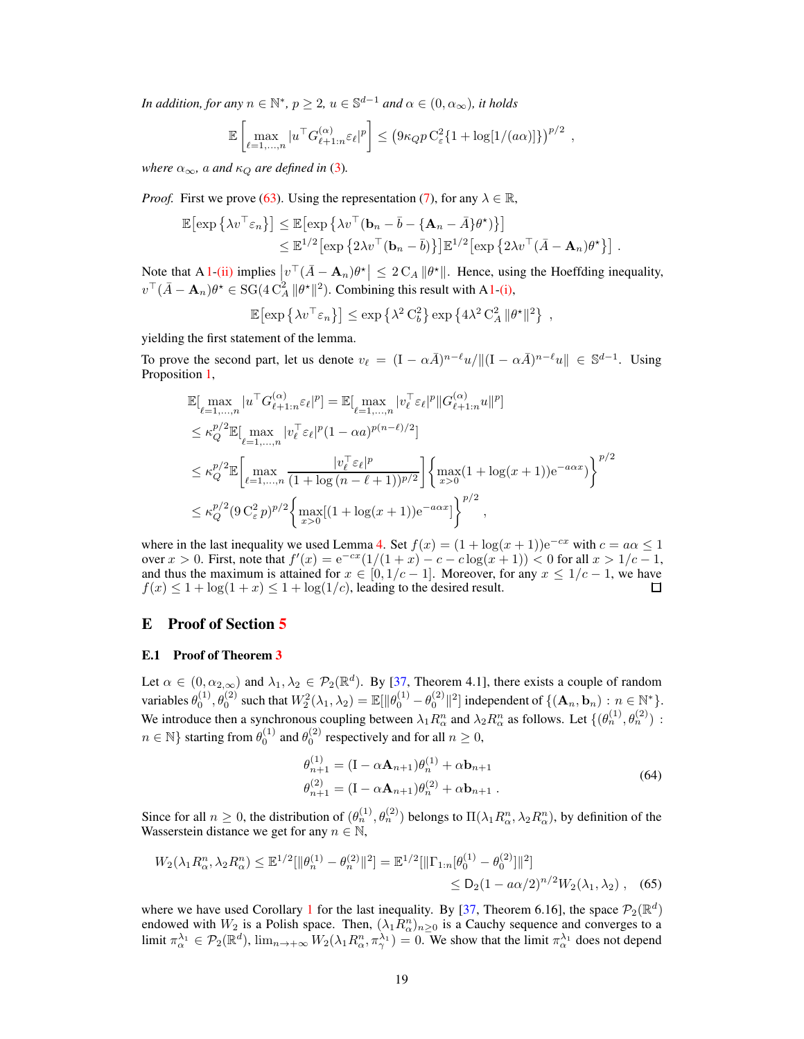*In addition, for any*  $n \in \mathbb{N}^*$ ,  $p \ge 2$ ,  $u \in \mathbb{S}^{d-1}$  *and*  $\alpha \in (0, \alpha_{\infty})$ *, it holds* 

$$
\mathbb{E}\left[\max_{\ell=1,\dots,n}|u^\top G_{\ell+1:n}^{(\alpha)}\varepsilon_\ell|^p\right] \leq \left(9\kappa_Q p C_\varepsilon^2 \{1+\log[1/(a\alpha)]\}\right)^{p/2},
$$

*where*  $\alpha_{\infty}$ *, a and*  $\kappa_{Q}$  *are defined in* [\(3\)](#page-2-8).

*Proof.* First we prove [\(63\)](#page-17-2). Using the representation [\(7\)](#page-3-4), for any  $\lambda \in \mathbb{R}$ ,

$$
\mathbb{E}[\exp\{\lambda v^\top \varepsilon_n\}] \leq \mathbb{E}[\exp\{\lambda v^\top (\mathbf{b}_n - \bar{b} - \{\mathbf{A}_n - \bar{A}\}\theta^\star)\}]\n\n\leq \mathbb{E}^{1/2}[\exp\{2\lambda v^\top (\mathbf{b}_n - \bar{b})\}]\mathbb{E}^{1/2}[\exp\{2\lambda v^\top (\bar{A} - \mathbf{A}_n)\theta^\star\}].
$$

Note that A [1](#page-2-1)[-\(ii\)](#page-2-3) implies  $|v^{\top}(\bar{A} - A_n)\theta^{\star}| \leq 2 C_A ||\theta^{\star}||$ . Hence, using the Hoeffding inequality,  $v^{\top}(\bar{A}-\mathbf{A}_n)\theta^* \in \text{SG}(4 \text{ C}_A^2 ||\theta^*||^2)$ . Combining this result with [A1](#page-2-1)[-\(i\),](#page-2-2)

$$
\mathbb{E}[\exp\left\{\lambda v^{\top} \varepsilon_n\right\}] \leq \exp\left\{\lambda^2 C_b^2\right\} \exp\left\{4\lambda^2 C_A^2 \|\theta^{\star}\|^2\right\},\
$$

yielding the first statement of the lemma.

To prove the second part, let us denote  $v_{\ell} = (I - \alpha \bar{A})^{n-\ell} u / ||(I - \alpha \bar{A})^{n-\ell} u|| \in \mathbb{S}^{d-1}$ . Using Proposition [1,](#page-2-7)

$$
\mathbb{E}[\max_{\ell=1,...,n} |u^{\top} G_{\ell+1:n}^{(\alpha)} \varepsilon_{\ell}|^{p}] = \mathbb{E}[\max_{\ell=1,...,n} |v_{\ell}^{\top} \varepsilon_{\ell}|^{p} || G_{\ell+1:n}^{(\alpha)} u ||^{p}]
$$
\n
$$
\leq \kappa_{Q}^{p/2} \mathbb{E}[\max_{\ell=1,...,n} |v_{\ell}^{\top} \varepsilon_{\ell}|^{p} (1 - \alpha a)^{p(n-\ell)/2}]
$$
\n
$$
\leq \kappa_{Q}^{p/2} \mathbb{E}[\max_{\ell=1,...,n} \frac{|v_{\ell}^{\top} \varepsilon_{\ell}|^{p}}{(1 + \log(n - \ell + 1))^{p/2}}] \left\{ \max_{x>0} (1 + \log(x+1)) e^{-a\alpha x} \right\}^{p/2}
$$
\n
$$
\leq \kappa_{Q}^{p/2} (9 C_{\varepsilon}^{2} p)^{p/2} \left\{ \max_{x>0} [(1 + \log(x+1)) e^{-a\alpha x}] \right\}^{p/2},
$$

where in the last inequality we used Lemma [4.](#page-17-3) Set  $f(x) = (1 + \log(x + 1))e^{-cx}$  with  $c = a\alpha \le 1$ over  $x > 0$ . First, note that  $f'(x) = e^{-cx} (1/(1+x) - c - c \log(x+1)) < 0$  for all  $x > 1/c - 1$ , and thus the maximum is attained for  $x \in [0, 1/c - 1]$ . Moreover, for any  $x \le 1/c - 1$ , we have  $f(x) \le 1 + \log(1+x) \le 1 + \log(1/c)$ . leading to the desired result.  $f(x) \leq 1 + \log(1+x) \leq 1 + \log(1/c)$ , leading to the desired result.

## <span id="page-18-0"></span>E Proof of Section [5](#page-7-1)

## E.1 Proof of Theorem [3](#page-7-5)

Let  $\alpha \in (0, \alpha_{2, \infty})$  and  $\lambda_1, \lambda_2 \in \mathcal{P}_2(\mathbb{R}^d)$ . By [\[37,](#page-11-9) Theorem 4.1], there exists a couple of random variables  $\theta_0^{(1)}$ ,  $\theta_0^{(2)}$  such that  $W_2^2(\lambda_1, \lambda_2) = \mathbb{E}[\|\theta_0^{(1)} - \theta_0^{(2)}\|^2]$  independent of  $\{(\mathbf{A}_n, \mathbf{b}_n) : n \in \mathbb{N}^*\}.$ We introduce then a synchronous coupling between  $\lambda_1 R_\alpha^n$  and  $\lambda_2 R_\alpha^n$  as follows. Let  $\{(\theta_n^{(1)}, \theta_n^{(2)}) :$  $n \in \mathbb{N}$ } starting from  $\theta_0^{(1)}$  and  $\theta_0^{(2)}$  respectively and for all  $n \ge 0$ ,

<span id="page-18-1"></span>
$$
\theta_{n+1}^{(1)} = (\mathbf{I} - \alpha \mathbf{A}_{n+1})\theta_n^{(1)} + \alpha \mathbf{b}_{n+1}
$$
  
\n
$$
\theta_{n+1}^{(2)} = (\mathbf{I} - \alpha \mathbf{A}_{n+1})\theta_n^{(2)} + \alpha \mathbf{b}_{n+1}.
$$
\n(64)

Since for all  $n \ge 0$ , the distribution of  $(\theta_n^{(1)}, \theta_n^{(2)})$  belongs to  $\Pi(\lambda_1 R_\alpha^n, \lambda_2 R_\alpha^n)$ , by definition of the Wasserstein distance we get for any  $n \in \mathbb{N}$ ,

$$
W_2(\lambda_1 R^n_{\alpha}, \lambda_2 R^n_{\alpha}) \le \mathbb{E}^{1/2} [\|\theta_n^{(1)} - \theta_n^{(2)}\|^2] = \mathbb{E}^{1/2} [\|\Gamma_{1:n}[\theta_0^{(1)} - \theta_0^{(2)}\|^2] \le D_2 (1 - a\alpha/2)^{n/2} W_2(\lambda_1, \lambda_2) , \quad (65)
$$

where we have used Corollary [1](#page-4-4) for the last inequality. By [\[37,](#page-11-9) Theorem 6.16], the space  $\mathcal{P}_2(\mathbb{R}^d)$ endowed with  $W_2$  is a Polish space. Then,  $(\lambda_1 R_{\alpha}^n)_{n \geq 0}$  is a Cauchy sequence and converges to a limit  $\pi_{\alpha}^{\lambda_1} \in \mathcal{P}_2(\mathbb{R}^d)$ ,  $\lim_{n \to +\infty} W_2(\lambda_1 R^n_{\alpha}, \pi_{\gamma}^{\lambda_1}) = 0$ . We show that the limit  $\pi_{\alpha}^{\lambda_1}$  does not depend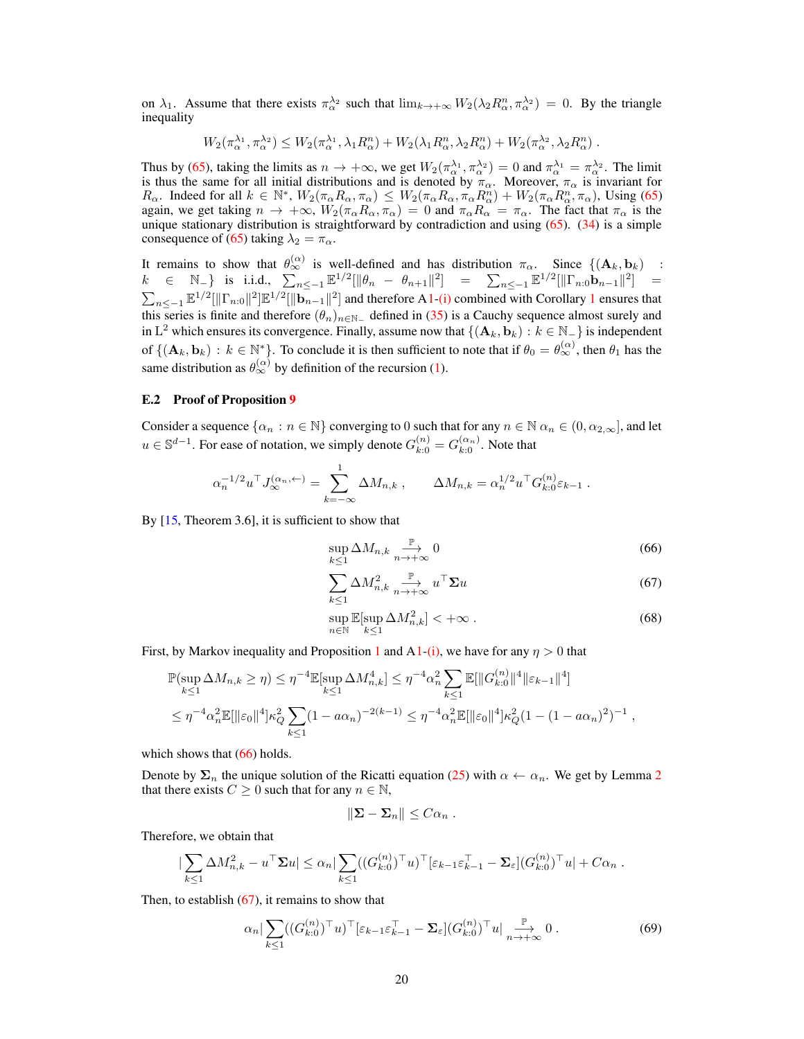on  $\lambda_1$ . Assume that there exists  $\pi_\alpha^{\lambda_2}$  such that  $\lim_{k\to+\infty} W_2(\lambda_2 R_\alpha^n, \pi_\alpha^{\lambda_2}) = 0$ . By the triangle inequality

$$
W_2(\pi^{\lambda_1}_{\alpha}, \pi^{\lambda_2}_{\alpha}) \leq W_2(\pi^{\lambda_1}_{\alpha}, \lambda_1 R^n_{\alpha}) + W_2(\lambda_1 R^n_{\alpha}, \lambda_2 R^n_{\alpha}) + W_2(\pi^{\lambda_2}_{\alpha}, \lambda_2 R^n_{\alpha}).
$$

Thus by [\(65\)](#page-18-1), taking the limits as  $n \to +\infty$ , we get  $W_2(\pi_\alpha^{\lambda_1}, \pi_\alpha^{\lambda_2}) = 0$  and  $\pi_\alpha^{\lambda_1} = \pi_\alpha^{\lambda_2}$ . The limit is thus the same for all initial distributions and is denoted by  $\pi_{\alpha}$ . Moreover,  $\pi_{\alpha}$  is invariant for  $R_{\alpha}$ . Indeed for all  $k \in \mathbb{N}^*$ ,  $W_2(\pi_{\alpha} R_{\alpha}, \pi_{\alpha}) \leq W_2(\pi_{\alpha} R_{\alpha}, \pi_{\alpha} R_{\alpha}^n) + W_2(\pi_{\alpha} R_{\alpha}^n, \pi_{\alpha})$ , Using [\(65\)](#page-18-1) again, we get taking  $n \to +\infty$ ,  $W_2(\pi_\alpha R_\alpha, \pi_\alpha) = 0$  and  $\pi_\alpha R_\alpha = \pi_\alpha$ . The fact that  $\pi_\alpha$  is the unique stationary distribution is straightforward by contradiction and using [\(65\)](#page-18-1). [\(34\)](#page-8-2) is a simple consequence of [\(65\)](#page-18-1) taking  $\lambda_2 = \pi_\alpha$ .

It remains to show that  $\theta_{\infty}^{(\alpha)}$  is well-defined and has distribution  $\pi_{\alpha}$ . Since  $\{(\mathbf{A}_k, \mathbf{b}_k)$  :  $k$  ∈ N<sub>-</sub>} is i.i.d.,  $\sum_{n \le -1} \mathbb{E}^{1/2} [\|\theta_n - \theta_{n+1}\|^2]$  =  $\sum_{n \le -1} \mathbb{E}^{1/2} [\|\Gamma_{n:0} \mathbf{b}_{n-1}\|^2]$  =  $\sum_{n \leq -1} \mathbb{E}^{1/2} [\|\Gamma_{n:0}\|^2] \mathbb{E}^{1/2} [\|\mathbf{b}_{n-1}\|^2]$  $\sum_{n \leq -1} \mathbb{E}^{1/2} [\|\Gamma_{n:0}\|^2] \mathbb{E}^{1/2} [\|\mathbf{b}_{n-1}\|^2]$  $\sum_{n \leq -1} \mathbb{E}^{1/2} [\|\Gamma_{n:0}\|^2] \mathbb{E}^{1/2} [\|\mathbf{b}_{n-1}\|^2]$  and therefore [A1](#page-2-1)[-\(i\)](#page-2-2) combined with Corollary 1 ensures that this series is finite and therefore  $(\theta_n)_{n \in \mathbb{N}_-}$  defined in [\(35\)](#page-8-3) is a Cauchy sequence almost surely and in L<sup>2</sup> which ensures its convergence. Finally, assume now that  $\{(\mathbf{A}_k, \mathbf{b}_k) : k \in \mathbb{N}_-\}$  is independent of  $\{(\mathbf{A}_k, \mathbf{b}_k) : k \in \mathbb{N}^*\}$ . To conclude it is then sufficient to note that if  $\theta_0 = \theta_{\infty}^{(\alpha)}$ , then  $\theta_1$  has the same distribution as  $\theta_{\infty}^{(\alpha)}$  by definition of the recursion [\(1\)](#page-0-0).

#### <span id="page-19-0"></span>E.2 Proof of Proposition [9](#page-9-13)

Consider a sequence  $\{\alpha_n : n \in \mathbb{N}\}$  converging to 0 such that for any  $n \in \mathbb{N}$   $\alpha_n \in (0, \alpha_{2,\infty}]$ , and let  $u \in \mathbb{S}^{d-1}$ . For ease of notation, we simply denote  $G_{k:0}^{(n)} = G_{k:0}^{(\alpha_n)}$ . Note that

$$
\alpha_n^{-1/2} u^{\top} J_{\infty}^{(\alpha_n, \leftarrow)} = \sum_{k=-\infty}^1 \Delta M_{n,k} , \qquad \Delta M_{n,k} = \alpha_n^{1/2} u^{\top} G_{k:0}^{(n)} \varepsilon_{k-1} .
$$

By [\[15,](#page-10-17) Theorem 3.6], it is sufficient to show that

<span id="page-19-1"></span>
$$
\sup_{k\leq 1} \Delta M_{n,k} \underset{n\to+\infty}{\xrightarrow{\mathbb{P}}} 0 \tag{66}
$$

<span id="page-19-2"></span>
$$
\sum_{k\leq 1} \Delta M_{n,k}^2 \underset{n\to+\infty}{\xrightarrow{\mathbb{P}}} u^{\top} \Sigma u \tag{67}
$$

<span id="page-19-4"></span>
$$
\sup_{n \in \mathbb{N}} \mathbb{E}[\sup_{k \le 1} \Delta M_{n,k}^2] < +\infty \tag{68}
$$

First, by Markov inequality and Proposition [1](#page-2-7) and [A1-](#page-2-1)[\(i\),](#page-2-2) we have for any  $\eta > 0$  that

$$
\mathbb{P}(\sup_{k\leq 1} \Delta M_{n,k} \geq \eta) \leq \eta^{-4} \mathbb{E}[\sup_{k\leq 1} \Delta M_{n,k}^4] \leq \eta^{-4} \alpha_n^2 \sum_{k\leq 1} \mathbb{E}[\|G_{k:0}^{(n)}\|^4 \|\varepsilon_{k-1}\|^4]
$$
  

$$
\leq \eta^{-4} \alpha_n^2 \mathbb{E}[\|\varepsilon_0\|^4] \kappa_Q^2 \sum_{k\leq 1} (1 - a\alpha_n)^{-2(k-1)} \leq \eta^{-4} \alpha_n^2 \mathbb{E}[\|\varepsilon_0\|^4] \kappa_Q^2 (1 - (1 - a\alpha_n)^2)^{-1},
$$

which shows that  $(66)$  holds.

Denote by  $\Sigma_n$  the unique solution of the Ricatti equation [\(25\)](#page-6-1) with  $\alpha \leftarrow \alpha_n$ . We get by Lemma [2](#page-14-5) that there exists  $C \geq 0$  such that for any  $n \in \mathbb{N}$ ,

<span id="page-19-3"></span>
$$
\|\mathbf{\Sigma}-\mathbf{\Sigma}_n\|\leq C\alpha_n.
$$

Therefore, we obtain that

$$
\left|\sum_{k\leq 1}\Delta M_{n,k}^2-u^\top\mathbf{\Sigma} u\right|\leq\alpha_n\left|\sum_{k\leq 1}((G_{k:0}^{(n)})^\top u)^\top\left[\varepsilon_{k-1}\varepsilon_{k-1}^\top-\mathbf{\Sigma}_{\varepsilon}\right](G_{k:0}^{(n)})^\top u\right|+C\alpha_n.
$$

Then, to establish  $(67)$ , it remains to show that

$$
\alpha_n \big| \sum_{k \le 1} ((G_{k:0}^{(n)})^\top u)^\top \big[ \varepsilon_{k-1} \varepsilon_{k-1}^\top - \Sigma_\varepsilon \big] (G_{k:0}^{(n)})^\top u \big|_{n \to +\infty} \stackrel{\mathbb{P}}{\longrightarrow} 0 \,. \tag{69}
$$